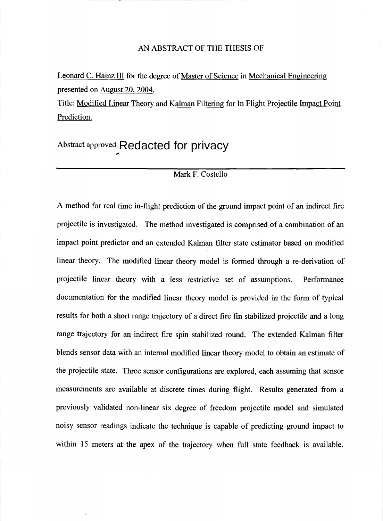Leonard C. Hainz III for the degree of Master of Science in Mechanical Engineering presented on August 20, 2004.

Title: Modified Linear Theory and Kalman Filtering for In Flight Projectile Impact Point Prediction.

Abstract approved: Redacted for privacy

#### Mark F. Costello

A method for real time in-flight prediction of the ground impact point of an indirect fire projectile is investigated. The method investigated is comprised of a combination of an impact point predictor and an extended Kalman filter state estimator based on modified linear theory. The modified linear theory model is formed through a re-derivation of projectile linear theory with a less restrictive set of assumptions. Performance documentation for the modified linear theory model is provided in the form of typical results for both a short range trajectory of a direct fire fin stabilized projectile and a long range trajectory for an indirect fire spin stabilized round. The extended Kalman filter blends sensor data with an internal modified linear theory model to obtain an estimate of the projectile state. Three sensor configurations are explored, each assuming that sensor measurements are available at discrete times during flight. Results generated from a previously validated non-linear six degree of freedom projectile model and simulated noisy sensor readings indicate the technique is capable of predicting ground impact to within 15 meters at the apex of the trajectory when full state feedback is available.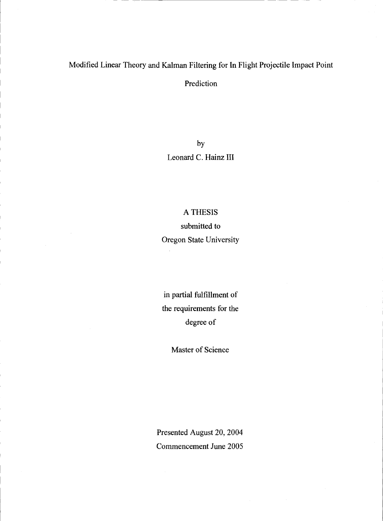## Modified Linear Theory and Kalman Filtering for In Flight Projectile Impact Point

Prediction

by Leonard C. Hainz III

### A THESIS

submitted to

Oregon State University

in partial fulfillment of the requirements for the degree of

Master of Science

Presented August 20, 2004 Commencement June 2005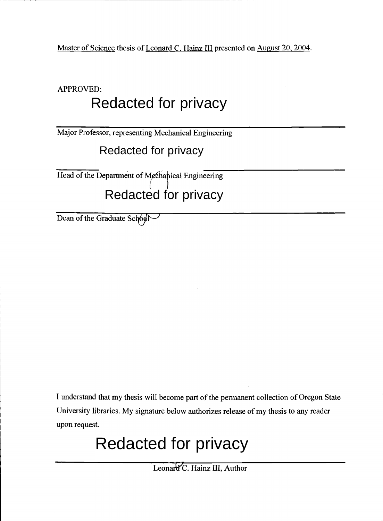Master of Science thesis of Leonard C. Hainz III presented on August 20, 2004.

APPROVED:

# Redacted for privacy

Major Professor, representing Mechanical Engineering

Redacted for privacy

Head of the Department of Mcchanical Engineering Redacted for privacy

Dean of the Graduate School

I understand that my thesis will become part of the permanent collection of Oregon State University libraries. My signature below authorizes release of my thesis to any reader upon request.

# Redacted for privacy

Leonard C. Hainz III, Author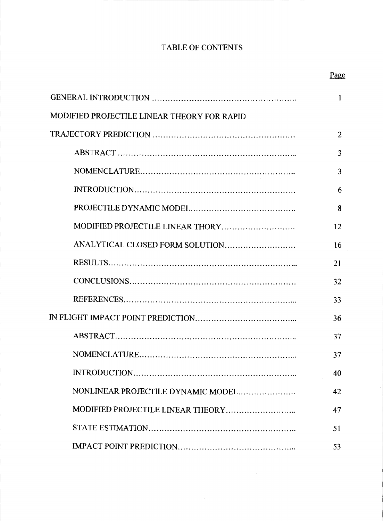# TABLE OF CONTENTS

|                                             | 1              |  |
|---------------------------------------------|----------------|--|
| MODIFIED PROJECTILE LINEAR THEORY FOR RAPID |                |  |
|                                             | $\overline{2}$ |  |
|                                             | 3              |  |
|                                             | 3              |  |
|                                             | 6              |  |
|                                             | 8              |  |
| MODIFIED PROJECTILE LINEAR THORY            | 12             |  |
| ANALYTICAL CLOSED FORM SOLUTION             | 16             |  |
|                                             | 21             |  |
|                                             | 32             |  |
|                                             | 33             |  |
|                                             | 36             |  |
|                                             | 37             |  |
|                                             | 37             |  |
|                                             | 40             |  |
| NONLINEAR PROJECTILE DYNAMIC MODEL          | 42             |  |
|                                             | 47             |  |
|                                             | 51             |  |
|                                             | 53             |  |

Page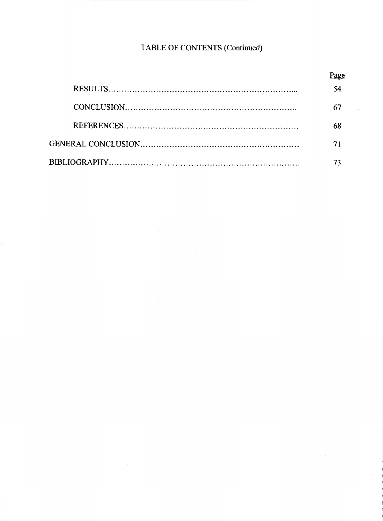# TABLE OF CONTENTS (Continued)

| 54 |
|----|
| 67 |
| 68 |
|    |
|    |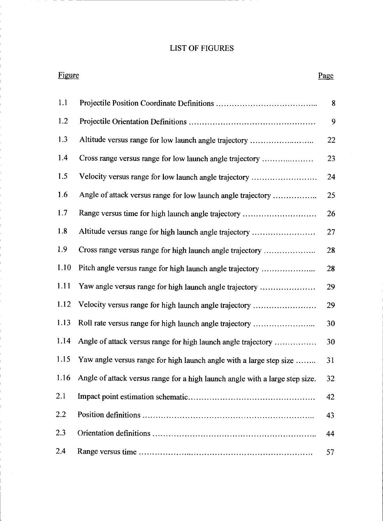## LIST OF FIGURES

| Figure |                                                                              | Page |
|--------|------------------------------------------------------------------------------|------|
| 1.1    |                                                                              | 8    |
| 1.2    |                                                                              | 9    |
| 1.3    | Altitude versus range for low launch angle trajectory                        | 22   |
| 1.4    | Cross range versus range for low launch angle trajectory                     | 23   |
| 1.5    | Velocity versus range for low launch angle trajectory                        | 24   |
| 1.6    | Angle of attack versus range for low launch angle trajectory                 | 25   |
| 1.7    | Range versus time for high launch angle trajectory                           | 26   |
| 1.8    | Altitude versus range for high launch angle trajectory                       | 27   |
| 1.9    | Cross range versus range for high launch angle trajectory                    | 28   |
| 1.10   | Pitch angle versus range for high launch angle trajectory                    | 28   |
| 1.11   | Yaw angle versus range for high launch angle trajectory                      | 29   |
| 1.12   | Velocity versus range for high launch angle trajectory                       | 29   |
| 1.13   | Roll rate versus range for high launch angle trajectory                      | 30   |
| 1.14   | Angle of attack versus range for high launch angle trajectory                | 30   |
| 1.15   | Yaw angle versus range for high launch angle with a large step size          | 31   |
| 1.16   | Angle of attack versus range for a high launch angle with a large step size. | 32   |
| 2.1    |                                                                              | 42   |
| 2.2    |                                                                              | 43   |
| 2.3    |                                                                              | 44   |
| 2.4    |                                                                              | 57   |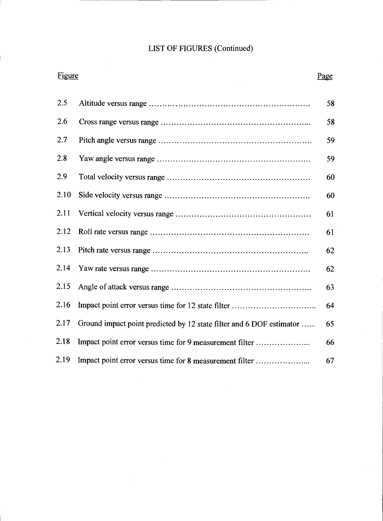# LIST OF FIGURES (Continued)

| Figure |                                                                      | Page |
|--------|----------------------------------------------------------------------|------|
| 2.5    |                                                                      | 58   |
| 2.6    |                                                                      | 58   |
| 2.7    |                                                                      | 59   |
| 2.8    |                                                                      | 59   |
| 2.9    |                                                                      | 60   |
| 2.10   |                                                                      | 60   |
| 2.11   |                                                                      | 61   |
| 2.12   |                                                                      | 61   |
| 2.13   |                                                                      | 62   |
| 2.14   |                                                                      | 62   |
| 2.15   |                                                                      | 63   |
| 2.16   |                                                                      | 64   |
| 2.17   | Ground impact point predicted by 12 state filter and 6 DOF estimator | 65   |
| 2.18   | Impact point error versus time for 9 measurement filter              | 66   |
| 2.19   | Impact point error versus time for 8 measurement filter              | 67   |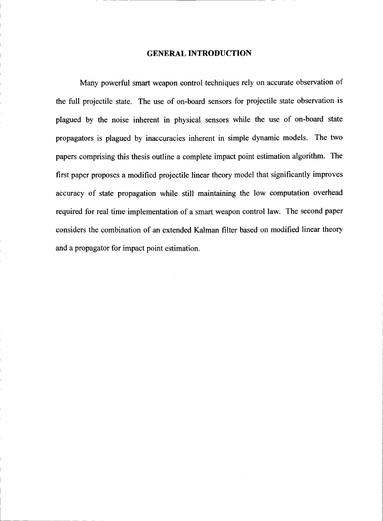#### GENERAL INTRODUCTION

Many powerful smart weapon control techniques rely on accurate observation of the full projectile state. The use of on-board sensors for projectile state observation is plagued by the noise inherent in physical sensors while the use of on-board state propagators is plagued by inaccuracies inherent in simple dynamic models. The two papers comprising this thesis outline a complete impact point estimation algorithm. The first paper proposes a modified projectile linear theory model that significantly improves accuracy of state propagation while still maintaining the low computation overhead required for real time implementation of a smart weapon control law. The second paper considers the combination of an extended Kalman filter based on modified linear theory and a propagator for impact point estimation.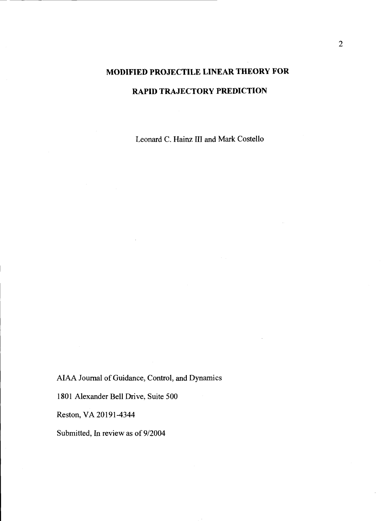# MODIFIED PROJECTILE LINEAR THEORY FOR RAPID TRAJECTORY PREDICTION

Leonard C. Hainz III and Mark Costello

AIAA Journal of Guidance, Control, and Dynamics

1801 Alexander Bell Drive, Suite 500

Reston, VA 20191-4344

Submitted, In review as of 9/2004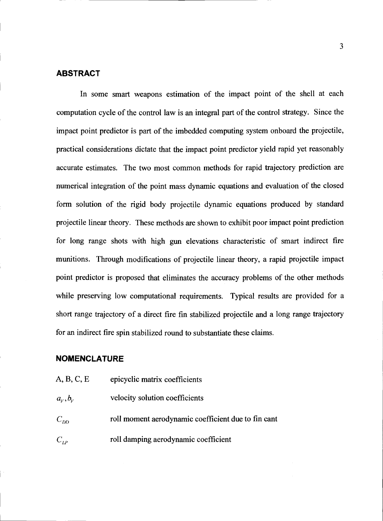#### ABSTRACT

In some smart weapons estimation of the impact point of the shell at each computation cycle of the control law is an integral part of the control strategy. Since the impact point predictor is part of the imbedded computing system onboard the projectile, practical considerations dictate that the impact point predictor yield rapid yet reasonably accurate estimates. The two most common methods for rapid trajectory prediction are numerical integration of the point mass dynamic equations and evaluation of the closed form solution of the rigid body projectile dynamic equations produced by standard projectile linear theory. These methods are shown to exhibit poor impact point prediction for long range shots with high gun elevations characteristic of smart indirect fire munitions. Through modifications of projectile linear theory, a rapid projectile impact point predictor is proposed that eliminates the accuracy problems of the other methods while preserving low computational requirements. Typical results are provided for a short range trajectory of a direct fire fin stabilized projectile and a long range trajectory for an indirect fire spin stabilized round to substantiate these claims.

#### NOMENCLATURE

A, B, C, E epicyclic matrix coefficients  $a_v, b_v$  velocity solution coefficients  $C_{DD}$  roll moment aerodynamic coefficient due to fin cant  $C_{LP}$  roll damping aerodynamic coefficient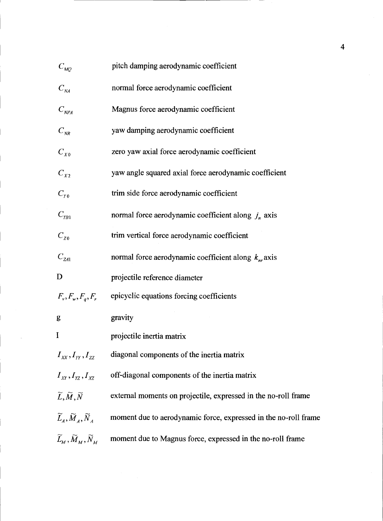| $C_{MQ}$                                                                                                                 | pitch damping aerodynamic coefficient                           |
|--------------------------------------------------------------------------------------------------------------------------|-----------------------------------------------------------------|
| $C_{\textit{NA}}$                                                                                                        | normal force aerodynamic coefficient                            |
| $C_{NPA}$                                                                                                                | Magnus force aerodynamic coefficient                            |
| $C_{_{NR}}$                                                                                                              | yaw damping aerodynamic coefficient                             |
| $C_{X0}$                                                                                                                 | zero yaw axial force aerodynamic coefficient                    |
| $C_{X2}$                                                                                                                 | yaw angle squared axial force aerodynamic coefficient           |
| $C_{Y0}$                                                                                                                 | trim side force aerodynamic coefficient                         |
| $C_{YB1}$                                                                                                                | normal force aerodynamic coefficient along $j_n$ axis           |
| $C_{z0}$                                                                                                                 | trim vertical force aerodynamic coefficient                     |
| $C_{Z41}$                                                                                                                | normal force aerodynamic coefficient along $k_{nr}$ axis        |
| D                                                                                                                        | projectile reference diameter                                   |
| $F_v, F_w, F_q, F_r$                                                                                                     | epicyclic equations forcing coefficients                        |
| g                                                                                                                        | gravity                                                         |
| I                                                                                                                        | projectile inertia matrix                                       |
| $I_{xx}, I_{yy}, I_{zz}$                                                                                                 | diagonal components of the inertia matrix                       |
| $I_{XY}, I_{YZ}, I_{XZ}$                                                                                                 | off-diagonal components of the inertia matrix                   |
| $\widetilde{L}, \widetilde{M}, \widetilde{N}$                                                                            | external moments on projectile, expressed in the no-roll frame  |
| $\widetilde{L}_A, \widetilde{M}_A, \widetilde{N}_A$                                                                      | moment due to aerodynamic force, expressed in the no-roll frame |
| $\widetilde{L}_{\scriptscriptstyle M}$ , $\widetilde{M}_{\scriptscriptstyle M}$ , $\widetilde{N}_{\scriptscriptstyle M}$ | moment due to Magnus force, expressed in the no-roll frame      |

4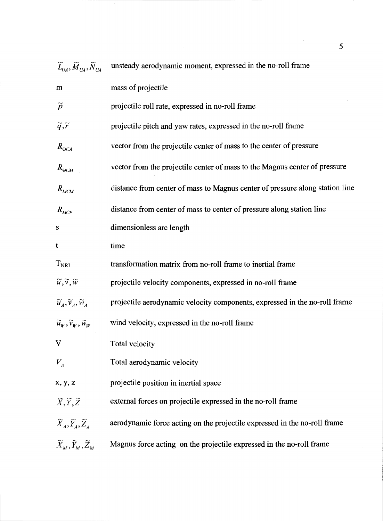| $\widetilde{L}_{\scriptscriptstyle U\!\mathcal{A}}, \widetilde{M}_{\scriptscriptstyle U\!\mathcal{A}}, \widetilde{N}_{\scriptscriptstyle U\!\mathcal{A}}$ | unsteady aerodynamic moment, expressed in the no-roll frame                  |
|-----------------------------------------------------------------------------------------------------------------------------------------------------------|------------------------------------------------------------------------------|
| ${\bf m}$                                                                                                                                                 | mass of projectile                                                           |
| $\widetilde{p}$                                                                                                                                           | projectile roll rate, expressed in no-roll frame                             |
| $\widetilde{q},\widetilde{r}$                                                                                                                             | projectile pitch and yaw rates, expressed in the no-roll frame               |
| $R_{\oplus CA}$                                                                                                                                           | vector from the projectile center of mass to the center of pressure          |
| $R_{\oplus CM}$                                                                                                                                           | vector from the projectile center of mass to the Magnus center of pressure   |
| $R_{MCM}$                                                                                                                                                 | distance from center of mass to Magnus center of pressure along station line |
| $R_{MCP}$                                                                                                                                                 | distance from center of mass to center of pressure along station line        |
| S                                                                                                                                                         | dimensionless arc length                                                     |
| t                                                                                                                                                         | time                                                                         |
| $T_{\mathrm{NRI}}$                                                                                                                                        | transformation matrix from no-roll frame to inertial frame                   |
| $\widetilde{u}, \widetilde{v}, \widetilde{w}$                                                                                                             | projectile velocity components, expressed in no-roll frame                   |
| $\widetilde{u}_A, \widetilde{v}_A, \widetilde{w}_A$                                                                                                       | projectile aerodynamic velocity components, expressed in the no-roll frame   |
| $\widetilde{u}_w, \widetilde{v}_w, \widetilde{w}_w$                                                                                                       | wind velocity, expressed in the no-roll frame                                |
| $\bar{\rm V}$                                                                                                                                             | Total velocity                                                               |
| $V_{A}$                                                                                                                                                   | Total aerodynamic velocity                                                   |
| x, y, z                                                                                                                                                   | projectile position in inertial space                                        |
| $\widetilde{X},\widetilde{Y},\widetilde{Z}$                                                                                                               | external forces on projectile expressed in the no-roll frame                 |
| $\widetilde{X}_A, \widetilde{Y}_A, \widetilde{Z}_A$                                                                                                       | aerodynamic force acting on the projectile expressed in the no-roll frame    |
| $\widetilde{X}_M, \widetilde{Y}_M, \widetilde{Z}_M$                                                                                                       | Magnus force acting on the projectile expressed in the no-roll frame         |

 $\overline{\mathbf{5}}$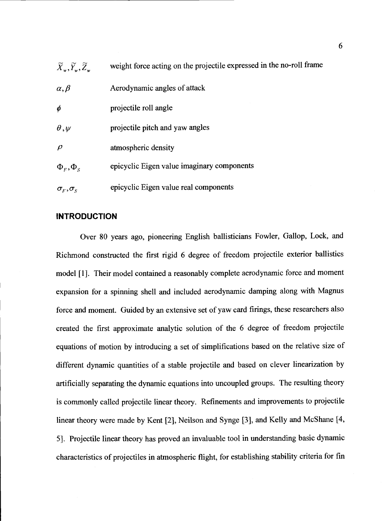| $\widetilde{X}_u, \widetilde{Y}_u, \widetilde{Z}_u$ | weight force acting on the projectile expressed in the no-roll frame |
|-----------------------------------------------------|----------------------------------------------------------------------|
| $\alpha, \beta$                                     | Aerodynamic angles of attack                                         |
| $\phi$                                              | projectile roll angle                                                |
| $\theta, \psi$                                      | projectile pitch and yaw angles                                      |
| $\rho$                                              | atmospheric density                                                  |
| $\Phi_F, \Phi_S$                                    | epicyclic Eigen value imaginary components                           |
| $\sigma_F, \sigma_S$                                | epicyclic Eigen value real components                                |

#### INTRODUCTION

Over 80 years ago, pioneering English ballisticians Fowler, Gallop, Lock, and Richmond constructed the first rigid 6 degree of freedom projectile exterior ballistics model [1]. Their model contained a reasonably complete aerodynamic force and moment expansion for a spinning shell and included aerodynamic damping along with Magnus force and moment. Guided by an extensive set of yaw card firings, these researchers also created the first approximate analytic solution of the 6 degree of freedom projectile equations of motion by introducing a set of simplifications based on the relative size of different dynamic quantities of a stable projectile and based on clever linearization by artificially separating the dynamic equations into uncoupled groups. The resulting theory is commonly called projectile linear theory. Refinements and improvements to projectile linear theory were made by Kent [2], Neilson and Synge [3], and Kelly and McShane [4, 5]. Projectile linear theory has proved an invaluable tool in understanding basic dynamic characteristics of projectiles in atmospheric flight, for establishing stability criteria for fin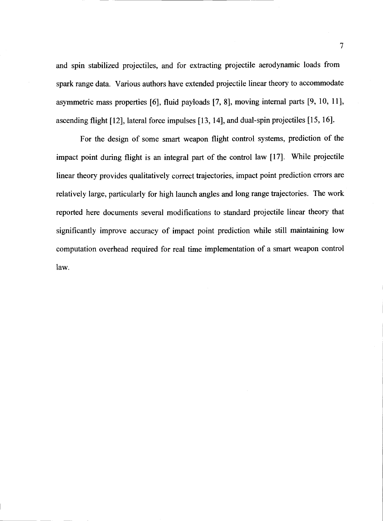and spin stabilized projectiles, and for extracting projectile aerodynamic loads from spark range data. Various authors have extended projectile linear theory to accommodate asymmetric mass properties [6], fluid payloads [7, 8], moving internal parts [9, 10, 11], ascending flight [12], lateral force impulses [13, 14], and dual-spin projectiles [15, 16].

For the design of some smart weapon flight control systems, prediction of the impact point during flight is an integral part of the control law [17]. While projectile linear theory provides qualitatively correct trajectories, impact point prediction errors are relatively large, particularly for high launch angles and long range trajectories. The work reported here documents several modifications to standard projectile linear theory that significantly improve accuracy of impact point prediction while still maintaining low computation overhead required for real time implementation of a smart weapon control law.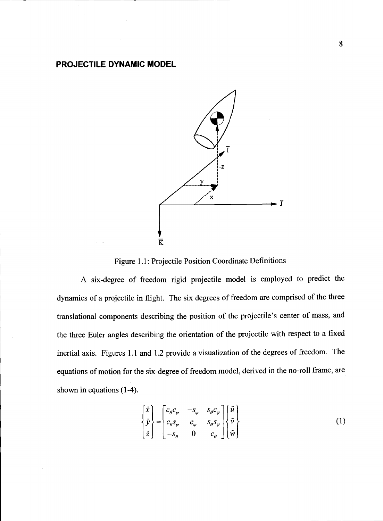## PROJECTILE DYNAMIC MODEL



Figure 1.1: Projectile Position Coordinate Definitions

A six-degree of freedom rigid projectile model is employed to predict the dynamics of a projectile in flight. The six degrees of freedom are comprised of the three translational components describing the position of the projectile's center of mass, and the three Euler angles describing the orientation of the projectile with respect to a fixed inertial axis. Figures 1.1 and 1.2 provide a visualization of the degrees of freedom. The equations of motion for the six-degree of freedom model, derived in the no-roll frame, are shown in equations (1-4).

$$
\begin{Bmatrix} \dot{x} \\ \dot{y} \\ \dot{z} \end{Bmatrix} = \begin{bmatrix} c_{\theta}c_{\psi} & -s_{\psi} & s_{\theta}c_{\psi} \\ c_{\theta}s_{\psi} & c_{\psi} & s_{\theta}s_{\psi} \\ -s_{\theta} & 0 & c_{\theta} \end{bmatrix} \begin{Bmatrix} \tilde{u} \\ \tilde{v} \\ \tilde{w} \end{Bmatrix}
$$
 (1)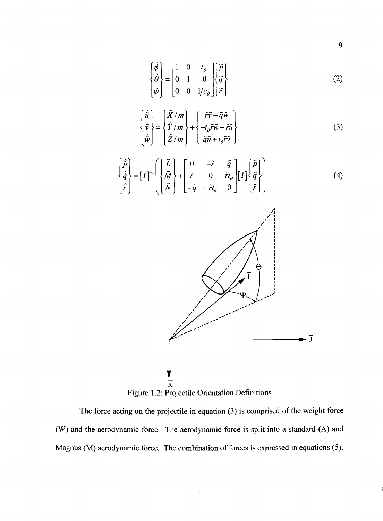$$
\begin{Bmatrix} \dot{\phi} \\ \dot{\theta} \\ \dot{\psi} \end{Bmatrix} = \begin{bmatrix} 1 & 0 & t_{\theta} \\ 0 & 1 & 0 \\ 0 & 0 & 1/c_{\theta} \end{bmatrix} \begin{Bmatrix} \widetilde{p} \\ \widetilde{q} \\ \widetilde{r} \end{Bmatrix}
$$
 (2)

$$
\begin{Bmatrix} \dot{\tilde{u}} \\ \dot{\tilde{v}} \\ \dot{\tilde{w}} \end{Bmatrix} = \begin{Bmatrix} \tilde{X}/m \\ \tilde{Y}/m \\ \tilde{Z}/m \end{Bmatrix} + \begin{Bmatrix} \tilde{r}\tilde{v} - \tilde{q}\tilde{w} \\ -t_{\theta}\tilde{r}\tilde{w} - \tilde{r}\tilde{u} \\ \tilde{q}\tilde{u} + t_{\theta}\tilde{r}\tilde{v} \end{Bmatrix}
$$
(3)

$$
\begin{Bmatrix} \dot{\tilde{p}} \\ \dot{\tilde{q}} \\ \dot{\tilde{r}} \end{Bmatrix} = [I]^{-1} \begin{Bmatrix} \tilde{L} \\ \tilde{M} \\ \tilde{N} \end{Bmatrix} + \begin{bmatrix} 0 & -\tilde{r} & \tilde{q} \\ \tilde{r} & 0 & \tilde{r}t_{\theta} \\ -\tilde{q} & -\tilde{r}t_{\theta} & 0 \end{bmatrix} [I] \begin{Bmatrix} \tilde{p} \\ \tilde{q} \\ \tilde{r} \end{Bmatrix}
$$
 (4)



9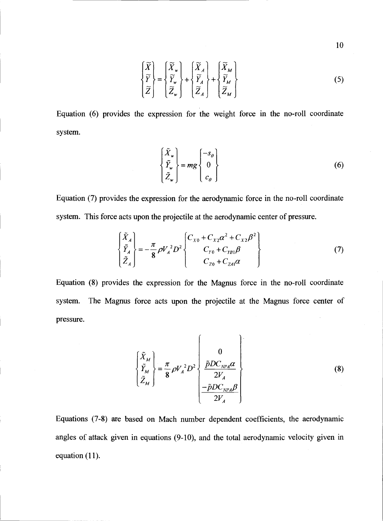$$
\begin{Bmatrix} \widetilde{X} \\ \widetilde{Y} \\ \widetilde{Z} \end{Bmatrix} = \begin{Bmatrix} \widetilde{X}_{w} \\ \widetilde{Y}_{w} \\ \widetilde{Z}_{w} \end{Bmatrix} + \begin{Bmatrix} \widetilde{X}_{A} \\ \widetilde{Y}_{A} \\ \widetilde{Z}_{A} \end{Bmatrix} + \begin{Bmatrix} \widetilde{X}_{M} \\ \widetilde{Y}_{M} \\ \widetilde{Z}_{M} \end{Bmatrix}
$$
\n(5)

Equation (6) provides the expression for the weight force in the no-roll coordinate system.

$$
\begin{Bmatrix} \tilde{X}_\nu \\ \tilde{Y}_\nu \\ \tilde{Z}_\nu \end{Bmatrix} = mg \begin{Bmatrix} -s_\theta \\ 0 \\ c_\theta \end{Bmatrix}
$$
 (6)

Equation (7) provides the expression for the aerodynamic force in the no-roll coordinate system. This force acts upon the projectile at the aerodynamic center of pressure.

$$
\begin{Bmatrix} \tilde{X}_A \\ \tilde{Y}_A \\ \tilde{Z}_A \end{Bmatrix} = -\frac{\pi}{8} \rho V_A^2 D^2 \begin{Bmatrix} C_{X0} + C_{X2} \alpha^2 + C_{X2} \beta^2 \\ C_{Y0} + C_{YB1} \beta \\ C_{Z0} + C_{ZA1} \alpha \end{Bmatrix}
$$
 (7)

Equation (8) provides the expression for the Magnus force in the no-roll coordinate system. The Magnus force acts upon the projectile at the Magnus force center of pressure.

$$
\begin{Bmatrix} \tilde{X}_M \\ \tilde{Y}_M \\ \tilde{Z}_M \end{Bmatrix} = \frac{\pi}{8} \rho V_A^2 D^2 \begin{Bmatrix} 0 \\ \frac{\tilde{p}DC_{NPA}\alpha}{2V_A} \\ -\frac{\tilde{p}DC_{NPA}\beta}{2V_A} \end{Bmatrix}
$$
 (8)

Equations (7-8) are based on Mach number dependent coefficients, the aerodynamic angles of attack given in equations (9-10), and the total aerodynamic velocity given in equation (11).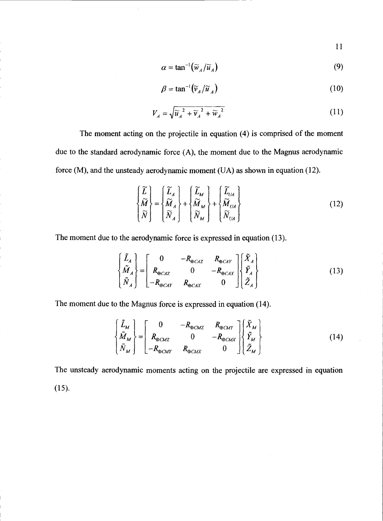11

$$
\alpha = \tan^{-1}(\widetilde{w}_A/\widetilde{u}_A) \tag{9}
$$

$$
\beta = \tan^{-1}(\widetilde{v}_A/\widetilde{u}_A) \tag{10}
$$

$$
V_A = \sqrt{\widetilde{u}_A^2 + \widetilde{v}_A^2 + \widetilde{w}_A^2}
$$
 (11)

The moment acting on the projectile in equation (4) is comprised of the moment due to the standard aerodynamic force (A), the moment due to the Magnus aerodynamic force (M), and the unsteady aerodynamic moment (UA) as shown in equation (12).

$$
\begin{Bmatrix} \widetilde{L} \\ \widetilde{M} \\ \widetilde{N} \end{Bmatrix} = \begin{Bmatrix} \widetilde{L}_A \\ \widetilde{M}_A \\ \widetilde{N}_A \end{Bmatrix} + \begin{Bmatrix} \widetilde{L}_M \\ \widetilde{M}_M \\ \widetilde{N}_M \end{Bmatrix} + \begin{Bmatrix} \widetilde{L}_{UA} \\ \widetilde{M}_{UA} \\ \widetilde{N}_{UA} \end{Bmatrix}
$$
\n(12)

The moment due to the aerodynamic force is expressed in equation (13).

$$
\begin{Bmatrix} \tilde{L}_A \\ \tilde{M}_A \\ \tilde{N}_A \end{Bmatrix} = \begin{bmatrix} 0 & -R_{\oplus CAZ} & R_{\oplus CAY} \\ R_{\oplus CAZ} & 0 & -R_{\oplus CAX} \\ -R_{\oplus CAY} & R_{\oplus CAX} & 0 \end{bmatrix} \begin{Bmatrix} \tilde{X}_A \\ \tilde{Y}_A \\ \tilde{Z}_A \end{Bmatrix}
$$
(13)

The moment due to the Magnus force is expressed in equation (14).

$$
\begin{Bmatrix} \tilde{L}_M \\ \tilde{M}_M \\ \tilde{N}_M \end{Bmatrix} = \begin{bmatrix} 0 & -R_{\oplus CMZ} & R_{\oplus CMY} \\ R_{\oplus CMZ} & 0 & -R_{\oplus CMX} \\ -R_{\oplus CMY} & R_{\oplus CMX} & 0 \end{bmatrix} \begin{Bmatrix} \tilde{X}_M \\ \tilde{Y}_M \\ \tilde{Z}_M \end{Bmatrix}
$$
(14)

The unsteady aerodynamic moments acting on the projectile are expressed in equation (15).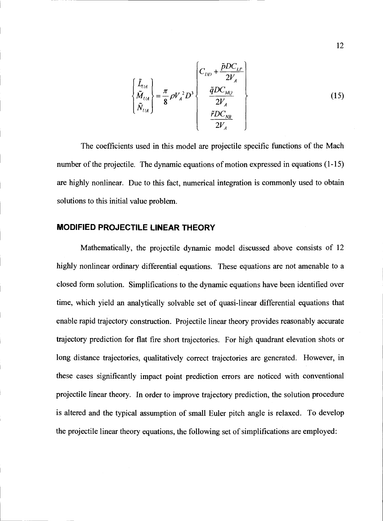$$
\begin{Bmatrix} \tilde{L}_{UA} \\ \tilde{M}_{UA} \\ \tilde{N}_{UA} \end{Bmatrix} = \frac{\pi}{8} \rho V_A^2 D^3 \begin{Bmatrix} C_{DD} + \frac{\tilde{p}DC_{LP}}{2V_A} \\ \frac{\tilde{q}DC_{MQ}}{2V_A} \\ \frac{\tilde{r}DC_{NR}}{2V_A} \end{Bmatrix}
$$
 (15)

The coefficients used in this model are projectile specific functions of the Mach number of the projectile. The dynamic equations of motion expressed in equations (1-15) are highly nonlinear. Due to this fact, numerical integration is commonly used to obtain solutions to this initial value problem.

#### MODIFIED PROJECTILE LINEAR THEORY

Mathematically, the projectile dynamic model discussed above consists of 12 highly nonlinear ordinary differential equations. These equations are not amenable to a closed form solution. Simplifications to the dynamic equations have been identified over time, which yield an analytically solvable set of quasi-linear differential equations that enable rapid trajectory construction. Projectile linear theory provides reasonably accurate trajectory prediction for flat fire short trajectories. For high quadrant elevation shots or long distance trajectories, qualitatively correct trajectories are generated. However, in these cases significantly impact point prediction errors are noticed with conventional projectile linear theory. In order to improve trajectory prediction, the solution procedure is altered and the typical assumption of small Euler pitch angle is relaxed. To develop the projectile linear theory equations, the following set of simplifications are employed: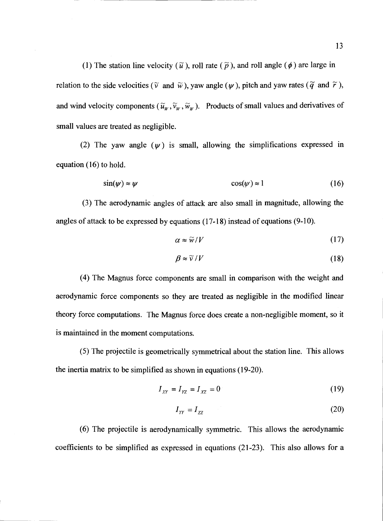(1) The station line velocity ( $\tilde{u}$ ), roll rate ( $\tilde{p}$ ), and roll angle ( $\phi$ ) are large in relation to the side velocities ( $\tilde{v}$  and  $\tilde{w}$ ), yaw angle ( $\psi$ ), pitch and yaw rates ( $\tilde{q}$  and  $\tilde{r}$ ), and wind velocity components  $(\tilde{u}_{w},\tilde{v}_{w},\tilde{w}_{w})$ . Products of small values and derivatives of small values are treated as negligible.

(2) The yaw angle  $(\psi)$  is small, allowing the simplifications expressed in equation (16) to hold.

$$
\sin(\psi) \approx \psi \qquad \qquad \cos(\psi) \approx 1 \qquad \qquad (16)
$$

(3) The aerodynamic angles of attack are also small in magnitude, allowing the angles of attack to be expressed by equations (17-18) instead of equations (9-10).

$$
\alpha \approx \widetilde{w}/V \tag{17}
$$

$$
\beta \approx \widetilde{\nu}/V \tag{18}
$$

(4) The Magnus force components are small in comparison with the weight and aerodynamic force components so they are treated as negligible in the modified linear theory force computations. The Magnus force does create a non-negligible moment, so it is maintained in the moment computations.

(5) The projectile is geometrically symmetrical about the station line. This allows the inertia matrix to be simplified as shown in equations (19-20).

$$
I_{XY} = I_{YZ} = I_{XZ} = 0
$$
 (19)

$$
I_{YY} = I_{ZZ} \tag{20}
$$

(6) The projectile is aerodynamically symmetric. This allows the aerodynamic coefficients to be simplified as expressed in equations (21-23). This also allows for a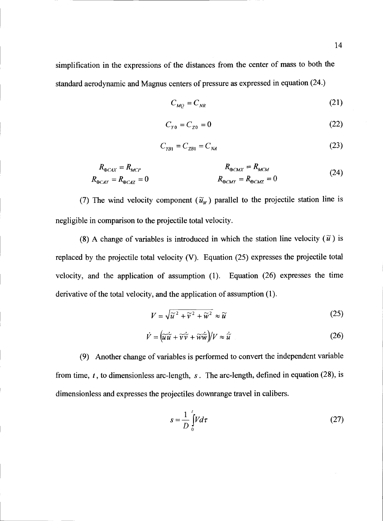simplification in the expressions of the distances from the center of mass to both the standard aerodynamic and Magnus centers of pressure as expressed in equation (24.)

$$
C_{MQ} = C_{NR} \tag{21}
$$

$$
C_{\gamma_0} = C_{z_0} = 0 \tag{22}
$$

$$
C_{\gamma_{B1}} = C_{\gamma_{B1}} = C_{\gamma_A} \tag{23}
$$

$$
R_{\oplus CAY} = R_{MCP}
$$
  
\n
$$
R_{\oplus CAY} = R_{\oplus CAZ} = 0
$$
  
\n
$$
R_{\oplus CMY} = R_{\oplus CMZ} = 0
$$
  
\n
$$
R_{\oplus CMY} = R_{\oplus CAZ} = 0
$$
\n(24)

(7) The wind velocity component  $(\tilde{u}_w)$  parallel to the projectile station line is negligible in comparison to the projectile total velocity.

(8) A change of variables is introduced in which the station line velocity  $(\tilde{u})$  is replaced by the projectile total velocity (V). Equation (25) expresses the projectile total velocity, and the application of assumption (1). Equation (26) expresses the time derivative of the total velocity, and the application of assumption (1).

$$
V = \sqrt{\widetilde{u}^2 + \widetilde{v}^2 + \widetilde{w}^2} \approx \widetilde{u}
$$
 (25)

$$
\dot{V} = \left(\tilde{u}\dot{\tilde{u}} + \tilde{v}\dot{\tilde{v}} + \tilde{w}\dot{\tilde{w}}\right)/V \approx \dot{\tilde{u}}\tag{26}
$$

(9) Another change of variables is performed to convert the independent variable from time,  $t$ , to dimensionless arc-length,  $s$ . The arc-length, defined in equation (28), is dimensionless and expresses the projectiles downrange travel in calibers.

$$
s = \frac{1}{D} \int_{0}^{L} V d\tau
$$
 (27)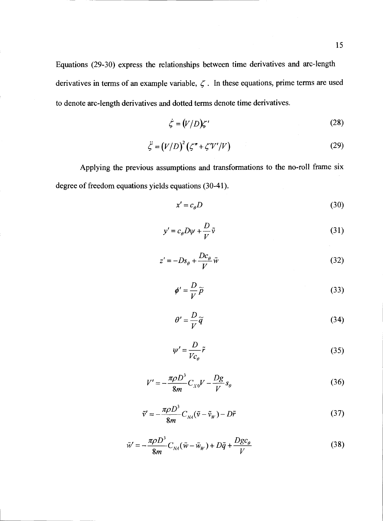Equations (29-30) express the relationships between time derivatives and arc-length derivatives in terms of an example variable,  $\zeta$ . In these equations, prime terms are used to denote arc-length derivatives and dotted terms denote time derivatives.

$$
\dot{\zeta} = (V/D)\zeta' \tag{28}
$$

$$
\ddot{\zeta} = (V/D)^2 (\zeta'' + \zeta'V'/V) \tag{29}
$$

Applying the previous assumptions and transformations to the no-roll frame six degree of freedom equations yields equations (30-41).

$$
x' = c_{\theta} D \tag{30}
$$

$$
y' = c_{\theta} D \psi + \frac{D}{V} \tilde{v}
$$
 (31)

$$
z' = -Ds_{\theta} + \frac{Dc_{\theta}}{V} \tilde{w}
$$
 (32)

$$
\phi' = \frac{D}{V}\widetilde{p}
$$
\n(33)

$$
\theta' = -\frac{D}{V}\widetilde{q}
$$
 (34)

$$
\psi' = \frac{D}{V c_{\theta}} \tilde{r}
$$
 (35)

$$
V' = -\frac{\pi \rho D^3}{8m} C_{X0} V - \frac{Dg}{V} s_{\theta}
$$
 (36)

$$
\tilde{v}' = -\frac{\pi \rho D^3}{8m} C_{\scriptscriptstyle N\!A} (\tilde{v} - \tilde{v}_{\scriptscriptstyle W}) - D\tilde{r}
$$
\n(37)

$$
\tilde{w}' = -\frac{\pi \rho D^3}{8m} C_{NA} (\tilde{w} - \tilde{w}_w) + D\tilde{q} + \frac{Dgc_\theta}{V}
$$
\n(38)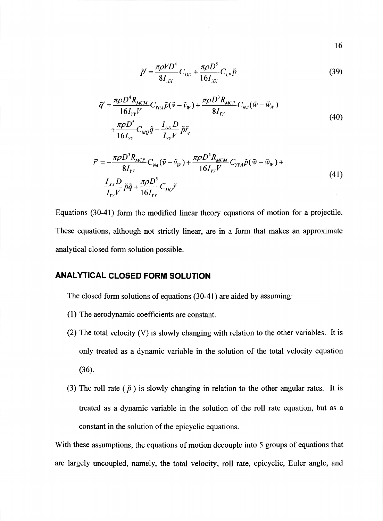$$
16 \hspace{75pt} \bullet
$$

$$
\tilde{p}' = \frac{\pi \rho V D^4}{8I_{XX}} C_{DD} + \frac{\pi \rho D^5}{16I_{XX}} C_{LP} \tilde{p}
$$
\n(39)

$$
\tilde{q}' = \frac{\pi \rho D^4 R_{MCM}}{16 I_{YY}} C_{\gamma P A} \tilde{p} (\tilde{v} - \tilde{v}_w) + \frac{\pi \rho D^3 R_{MCP}}{8 I_{YY}} C_{NA} (\tilde{w} - \tilde{w}_w)
$$
  
+ 
$$
\frac{\pi \rho D^5}{16 I_{YY}} C_{MQ} \tilde{q} - \frac{I_{XX} D}{I_{YY}} \tilde{p} \tilde{r}_q
$$
\n(40)

$$
\tilde{r}' = -\frac{\pi \rho D^3 R_{MCP}}{8I_{YY}} C_{\gamma A} (\tilde{v} - \tilde{v}_W) + \frac{\pi \rho D^4 R_{MCM}}{16I_{YY}V} C_{\gamma P A} \tilde{p} (\tilde{w} - \tilde{w}_W) +
$$
\n
$$
\frac{I_{XY} D}{I_{YY} V} \tilde{p} \tilde{q} + \frac{\pi \rho D^5}{16I_{YY}} C_{\gamma A Q} \tilde{r}
$$
\n(41)

Equations (30-4 1) form the modified linear theory equations of motion for a projectile. These equations, although not strictly linear, are in a form that makes an approximate analytical closed form solution possible.

#### ANALYTICAL CLOSED FORM SOLUTION

The closed form solutions of equations (30-41) are aided by assuming:

- (1) The aerodynamic coefficients are constant.
- (2) The total velocity (V) is slowly changing with relation to the other variables. It is only treated as a dynamic variable in the solution of the total velocity equation (36).
- (3) The roll rate ( $\tilde{p}$ ) is slowly changing in relation to the other angular rates. It is treated as a dynamic variable in the solution of the roll rate equation, but as a constant in the solution of the epicyclic equations.

With these assumptions, the equations of motion decouple into 5 groups of equations that are largely uncoupled, namely, the total velocity, roll rate, epicyclic, Euler angle, and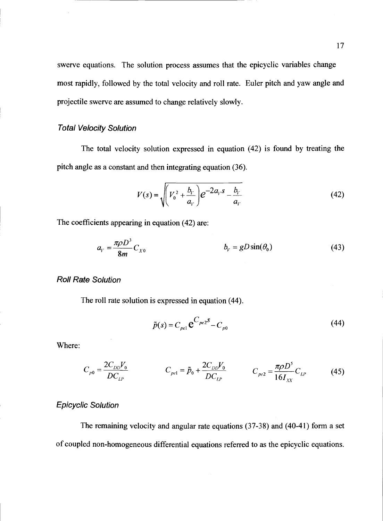swerve equations. The solution process assumes that the epicyclic variables change most rapidly, followed by the total velocity and roll rate. Euler pitch and yaw angle and projectile swerve are assumed to change relatively slowly.

#### Total Velocity Solution

The total velocity solution expressed in equation (42) is found by treating the pitch angle as a constant and then integrating equation (36).

$$
V(s) = \sqrt{\left(V_0^2 + \frac{b_V}{a_V}\right)e^{-2a_V s} - \frac{b_V}{a_V}}\tag{42}
$$

The coefficients appearing in equation (42) are:

$$
a_{\nu} = \frac{\pi \rho D^3}{8m} C_{X0} \qquad \qquad b_{\nu} = gD \sin(\theta_0) \qquad \qquad (43)
$$

#### Roll Rate Solution

The roll rate solution is expressed in equation (44).

$$
\tilde{p}(s) = C_{\rho e 1} \mathbf{e}^{C_{\rho e 2} s} - C_{\rho 0}
$$
\n(44)

Where:

$$
C_{p0} = \frac{2C_{DD}V_0}{DC_{LP}} \qquad \qquad C_{pel} = \tilde{p}_0 + \frac{2C_{DD}V_0}{DC_{LP}} \qquad \qquad C_{pe2} = \frac{\pi \rho D^5}{16I_{XX}}C_{LP} \qquad \qquad (45)
$$

#### Epicyclic Solution

The remaining velocity and angular rate equations (37-38) and (40-41) form a set of coupled non-homogeneous differential equations referred to as the epicyclic equations.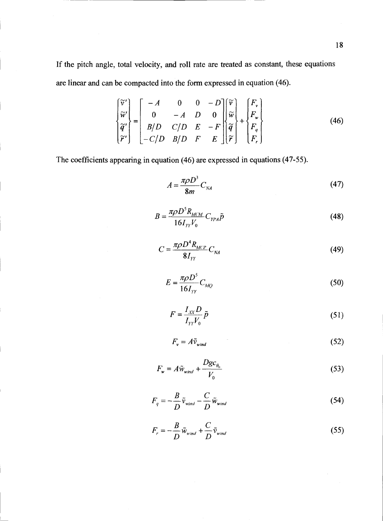If the pitch angle, total velocity, and roll rate are treated as constant, these equations are linear and can be compacted into the form expressed in equation (46).

$$
\begin{bmatrix} \widetilde{v}' \\ \widetilde{w}' \\ \widetilde{q}' \\ \widetilde{r}' \end{bmatrix} = \begin{bmatrix} -A & 0 & 0 & -D \\ 0 & -A & D & 0 \\ B/D & C/D & E & -F \\ -C/D & B/D & F & E \end{bmatrix} \begin{bmatrix} \widetilde{v} \\ \widetilde{w} \\ \widetilde{q} \\ \widetilde{r} \end{bmatrix} + \begin{bmatrix} F_v \\ F_w \\ F_q \\ F_q \end{bmatrix}
$$
(46)

The coefficients appearing in equation (46) are expressed in equations (47-55).

$$
A = \frac{\pi \rho D^3}{8m} C_{NA} \tag{47}
$$

$$
B = \frac{\pi \rho D^3 R_{MCM}}{16 I_{YY} V_0} C_{YPA} \tilde{p}
$$
\n(48)

$$
C = \frac{\pi \rho D^4 R_{MCP}}{8 I_{YY}} C_{NA} \tag{49}
$$

$$
E = \frac{\pi \rho D^5}{16 I_{yy}} C_{MQ} \tag{50}
$$

$$
F = \frac{I_{XX}D}{I_{YY}V_0}\tilde{p}
$$
\n(51)

$$
F_v = A\tilde{v}_{wind} \tag{52}
$$

$$
F_w = A\tilde{w}_{wind} + \frac{Dgc_{\theta_0}}{V_0}
$$
\n(53)

$$
F_q = -\frac{B}{D}\tilde{v}_{wind} - \frac{C}{D}\tilde{w}_{wind}
$$
 (54)

$$
F_r = -\frac{B}{D}\tilde{w}_{wind} + \frac{C}{D}\tilde{v}_{wind}
$$
\n(55)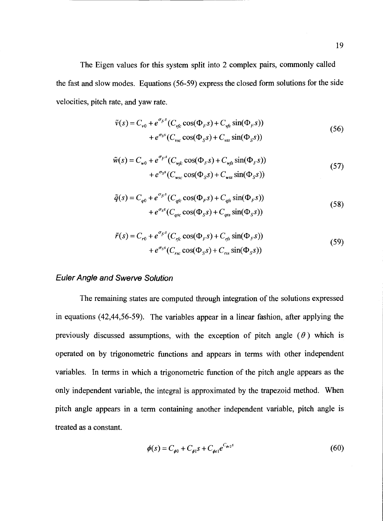The Eigen values for this system split into 2 complex pairs, commonly called the fast and slow modes. Equations (56-59) express the closed form solutions for the side velocities, pitch rate, and yaw rate.

$$
\tilde{v}(s) = C_{v0} + e^{\sigma_F s} (C_{vfc} \cos(\Phi_F s) + C_{vfs} \sin(\Phi_F s))
$$
  
+ 
$$
e^{\sigma_S s} (C_{vsc} \cos(\Phi_S s) + C_{vss} \sin(\Phi_S s))
$$
\n(56)

$$
\tilde{w}(s) = C_{w0} + e^{\sigma_F s} (C_{wfc} \cos(\Phi_F s) + C_{wfs} \sin(\Phi_F s))
$$
  
+ 
$$
e^{\sigma_S s} (C_{wsc} \cos(\Phi_S s) + C_{wss} \sin(\Phi_S s))
$$
\n(57)

$$
\tilde{q}(s) = C_{q0} + e^{\sigma_F s} (C_{qfc} \cos(\Phi_F s) + C_{qfs} \sin(\Phi_F s))
$$
  
+ 
$$
e^{\sigma_S s} (C_{qsc} \cos(\Phi_S s) + C_{qss} \sin(\Phi_S s))
$$
\n(58)

$$
\tilde{r}(s) = C_{r0} + e^{\sigma_F s} (C_{rfc} \cos(\Phi_F s) + C_{rfs} \sin(\Phi_F s))
$$
  
+ 
$$
e^{\sigma_S s} (C_{rsc} \cos(\Phi_S s) + C_{rss} \sin(\Phi_S s))
$$
\n(59)

#### **Euler Angle and Swerve Solution**

The remaining states are computed through integration of the solutions expressed in equations (42,44,56-59). The variables appear in a linear fashion, after applying the previously discussed assumptions, with the exception of pitch angle  $(\theta)$  which is operated on by trigonometric functions and appears in terms with other independent variables. In terms in which a trigonometric function of the pitch angle appears as the only independent variable, the integral is approximated by the trapezoid method. When pitch angle appears in a term containing another independent variable, pitch angle is treated as a constant.

$$
\phi(s) = C_{\phi 0} + C_{\phi 1} s + C_{\phi e 1} e^{C_{\phi e 2} s} \tag{60}
$$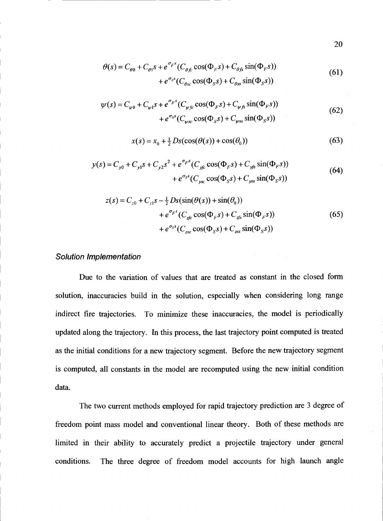$$
\theta(s) = C_{\theta 0} + C_{\theta 1} s + e^{\sigma_F s} (C_{\theta f c} \cos(\Phi_F s) + C_{\theta f s} \sin(\Phi_F s))
$$
  
+ 
$$
e^{\sigma_S s} (C_{\theta sc} \cos(\Phi_S s) + C_{\theta s s} \sin(\Phi_S s))
$$
(61)

$$
\psi(s) = C_{\psi 0} + C_{\psi 1} s + e^{\sigma_F s} (C_{\psi f c} \cos(\Phi_F s) + C_{\psi f s} \sin(\Phi_F s)) + e^{\sigma_S s} (C_{\psi sc} \cos(\Phi_S s) + C_{\psi ss} \sin(\Phi_S s))
$$
(62)

$$
x(s) = x_0 + \frac{1}{2} Ds(\cos(\theta(s)) + \cos(\theta_0))
$$
 (63)

$$
y(s) = C_{y0} + C_{y1}s + C_{y2}s^{2} + e^{\sigma_{F}s}(C_{yfc}\cos(\Phi_{F}s) + C_{yfs}\sin(\Phi_{F}s))
$$
  
+  $e^{\sigma_{S}s}(C_{ysc}\cos(\Phi_{S}s) + C_{yss}\sin(\Phi_{S}s))$  (64)

$$
z(s) = C_{z0} + C_{z1} s - \frac{1}{2} Ds(\sin(\theta(s)) + \sin(\theta_0)) + e^{\sigma_F s} (C_{zfc} \cos(\Phi_F s) + C_{zfs} \sin(\Phi_F s)) + e^{\sigma_S s} (C_{zsc} \cos(\Phi_S s) + C_{zss} \sin(\Phi_S s))
$$
(65)

#### Solution Implementation

Due to the variation of values that are treated as constant in the closed form solution, inaccuracies build in the solution, especially when considering long range indirect fire trajectories. To minimize these inaccuracies, the model is periodically updated along the trajectory. In this process, the last trajectory point computed is treated as the initial conditions for a new trajectory segment. Before the new trajectory segment is computed, all constants in the model are recomputed using the new initial condition data.

The two current methods employed for rapid trajectory prediction are 3 degree of freedom point mass model and conventional linear theory. Both of these methods are limited in their ability to accurately predict a projectile trajectory under general conditions. The three degree of freedom model accounts for high launch angle

20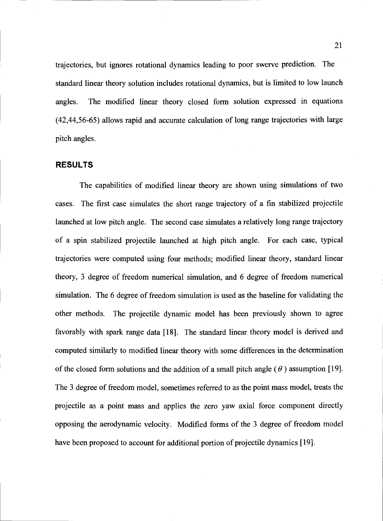trajectories, but ignores rotational dynamics leading to poor swerve prediction. The standard linear theory solution includes rotational dynamics, but is limited to low launch angles. The modified linear theory closed form solution expressed in equations (42,44,56-65) allows rapid and accurate calculation of long range trajectories with large pitch angles.

#### RESULTS

The capabilities of modified linear theory are shown using simulations of two cases. The first case simulates the short range trajectory of a fin stabilized projectile launched at low pitch angle. The second case simulates a relatively long range trajectory of a spin stabilized projectile launched at high pitch angle. For each case, typical trajectories were computed using four methods; modified linear theory, standard linear theory, 3 degree of freedom numerical simulation, and 6 degree of freedom numerical simulation. The 6 degree of freedom simulation is used as the baseline for validating the other methods. The projectile dynamic model has been previously shown to agree favorably with spark range data [181. The standard linear theory model is derived and computed similarly to modified linear theory with some differences in the determination of the closed form solutions and the addition of a small pitch angle  $(\theta)$  assumption [19]. The 3 degree of freedom model, sometimes referred to as the point mass model, treats the projectile as a point mass and applies the zero yaw axial force component directly opposing the aerodynamic velocity. Modified forms of the 3 degree of freedom model have been proposed to account for additional portion of projectile dynamics [19].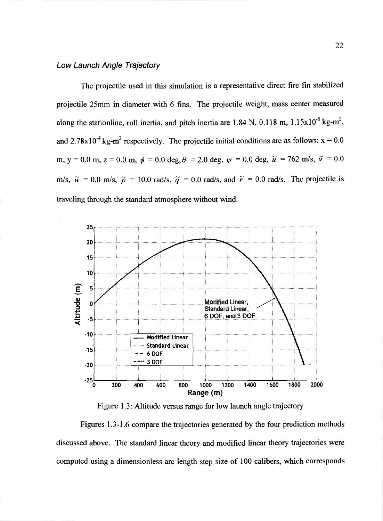#### Low Launch Angle Trajectory

The projectile used in this simulation is a representative direct fire fin stabilized projectile 25mm in diameter with 6 fins. The projectile weight, mass center measured along the stationline, roll inertia, and pitch inertia are 1.84 N, 0.118 m,  $1.15 \times 10^{-5}$  kg-m<sup>2</sup>, and 2.78x10<sup>-4</sup> kg-m<sup>2</sup> respectively. The projectile initial conditions are as follows:  $x = 0.0$ m, y = 0.0 m, z = 0.0 m,  $\phi = 0.0$  deg,  $\theta = 2.0$  deg,  $\psi = 0.0$  deg,  $\tilde{u} = 762$  m/s,  $\tilde{v} = 0.0$ m/s,  $\tilde{w} = 0.0$  m/s,  $\tilde{p} = 10.0$  rad/s,  $\tilde{q} = 0.0$  rad/s, and  $\tilde{r} = 0.0$  rad/s. The projectile is traveling through the standard atmosphere without wind.



Figure 1.3: Altitude versus range for low launch angle trajectory

Figures 1.3-1.6 compare the trajectories generated by the four prediction methods discussed above. The standard linear theory and modified linear theory trajectories were computed using a dimensionless arc length step size of 100 calibers, which corresponds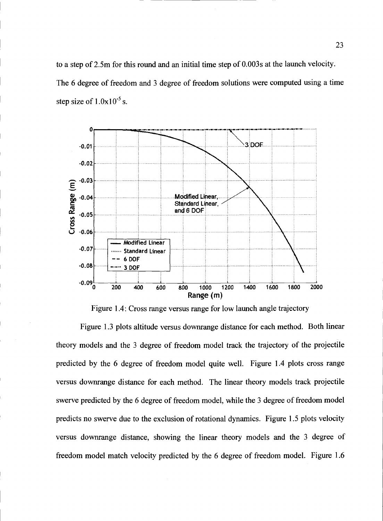to a step of 2.5m for this round and an initial time step of O.003s at the launch velocity. The 6 degree of freedom and 3 degree of freedom solutions were computed using a time step size of  $1.0x10^{-5}$  s.



Figure 1.4: Cross range versus range for low launch angle trajectory

Figure 1.3 plots altitude versus downrange distance for each method. Both linear theory models and the 3 degree of freedom model track the trajectory of the projectile predicted by the 6 degree of freedom model quite well. Figure 1.4 plots cross range versus downrange distance for each method. The linear theory models track projectile swerve predicted by the 6 degree of freedom model, while the 3 degree of freedom model predicts no swerve due to the exclusion of rotational dynamics. Figure 1.5 plots velocity versus downrange distance, showing the linear theory models and the 3 degree of freedom model match velocity predicted by the 6 degree of freedom model. Figure 1.6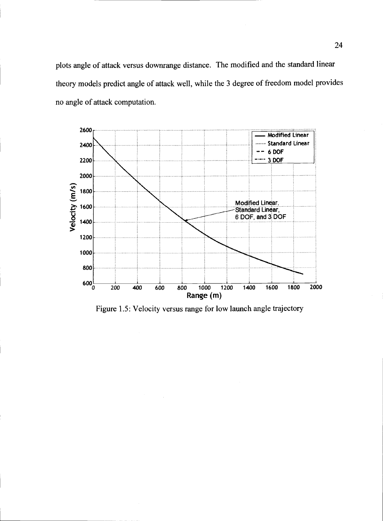plots angle of attack versus downrange distance. The modified and the standard linear theory models predict angle of attack well, while the 3 degree of freedom model provides no angle of attack computation.



Figure 1.5: Velocity versus range for low launch angle trajectory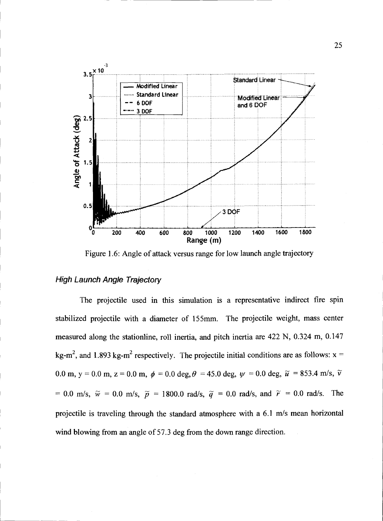

Figure 1.6: Angle of attack versus range for low launch angle trajectory

## **High Launch Angle Trajectory**

The projectile used in this simulation is a representative indirect fire spin stabilized projectile with a diameter of 155mm. The projectile weight, mass center measured along the stationline, roll inertia, and pitch inertia are 422 N, 0.324 m, 0.147 kg-m<sup>2</sup>, and 1.893 kg-m<sup>2</sup> respectively. The projectile initial conditions are as follows:  $x =$ 0.0 m, y = 0.0 m, z = 0.0 m,  $\phi$  = 0.0 deg,  $\theta$  = 45.0 deg,  $\psi$  = 0.0 deg,  $\tilde{u}$  = 853.4 m/s,  $\tilde{v}$ = 0.0 m/s,  $\widetilde{w}$  = 0.0 m/s,  $\widetilde{p}$  = 1800.0 rad/s,  $\widetilde{q}$  = 0.0 rad/s, and  $\widetilde{r}$  = 0.0 rad/s. The projectile is traveling through the standard atmosphere with a 6.1 m/s mean horizontal wind blowing from an angle of 57.3 deg from the down range direction.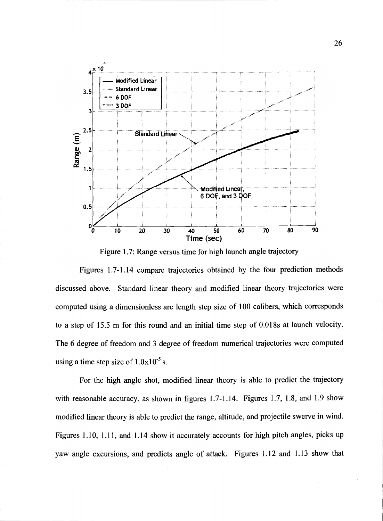

Figure 1.7: Range versus time for high launch angle trajectory

Figures 1.7-1.14 compare trajectories obtained by the four prediction methods discussed above. Standard linear theory and modified linear theory trajectories were computed using a dimensionless arc length step size of 100 calibers, which corresponds to a step of 15.5 m for this round and an initial time step of O.018s at launch velocity. The 6 degree of freedom and 3 degree of freedom numerical trajectories were computed using a time step size of  $1.0x10^{-5}$  s.

For the high angle shot, modified linear theory is able to predict the trajectory with reasonable accuracy, as shown in figures 1.7-1.14. Figures 1.7, 1.8, and 1.9 show modified linear theory is able to predict the range, altitude, and projectile swerve in wind. Figures 1.10, 1.11, and 1.14 show it accurately accounts for high pitch angles, picks up yaw angle excursions, and predicts angle of attack. Figures 1.12 and 1.13 show that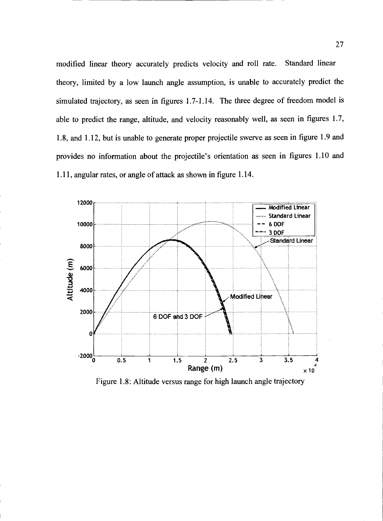modified linear theory accurately predicts velocity and roll rate. Standard linear theory, limited by a low launch angle assumption, is unable to accurately predict the simulated trajectory, as seen in figures 1.7-1.14. The three degree of freedom model is able to predict the range, altitude, and velocity reasonably well, as seen in figures 1.7, 1.8, and 1.12, but is unable to generate proper projectile swerve as seen in figure 1.9 and provides no information about the projectile's orientation as seen in figures 1.10 and 1.11, angular rates, or angle of attack as shown in figure 1.14.



Figure 1.8: Altitude versus range for high launch angle trajectory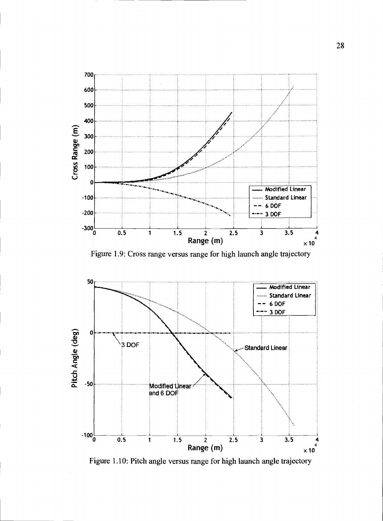

Figure 1.9: Cross range versus range for high launch angle trajectory



Figure 1.10: Pitch angle versus range for high launch angle trajectory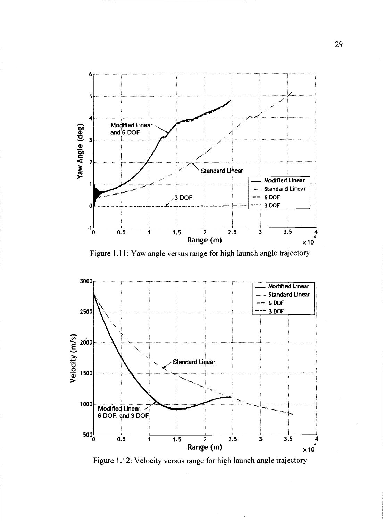

Figure 1.11: Yaw angle versus range for high launch angle trajectory



Figure 1.12: Velocity versus range for high launch angle trajectory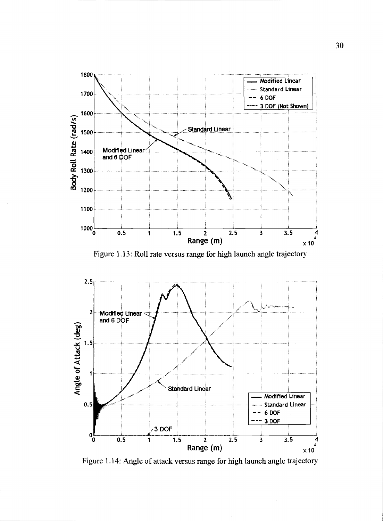

Figure 1.13: Roll rate versus range for high launch angle trajectory



Figure 1.14: Angle of attack versus range for high launch angle trajectory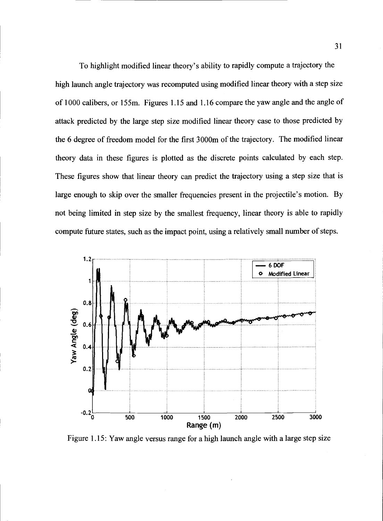To highlight modified linear theory's ability to rapidly compute a trajectory the high launch angle trajectory was recomputed using modified linear theory with a step size of 1000 calibers, or 155m. Figures 1.15 and 1.16 compare the yaw angle and the angle of attack predicted by the large step size modified linear theory case to those predicted by the 6 degree of freedom model for the first 3000m of the trajectory. The modified linear theory data in these figures is plotted as the discrete points calculated by each step. These figures show that linear theory can predict the trajectory using a step size that is large enough to skip over the smaller frequencies present in the projectile's motion. By not being limited in step size by the smallest frequency, linear theory is able to rapidly compute future states, such as the impact point, using a relatively small number of steps.



Figure 1.15: Yaw angle versus range for a high launch angle with a large step size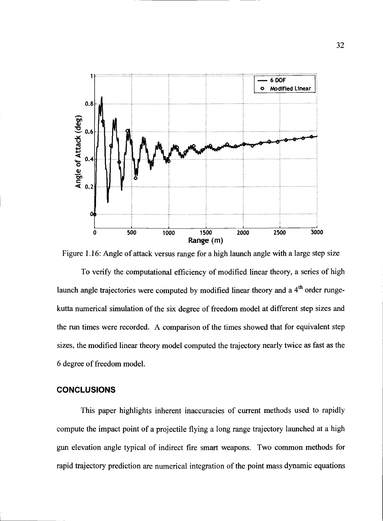

Figure 1.16: Angle of attack versus range for a high launch angle with a large step size

To verify the computational efficiency of modified linear theory, a series of high launch angle trajectories were computed by modified linear theory and a 4<sup>th</sup> order rungekutta numerical simulation of the six degree of freedom model at different step sizes and the run times were recorded. A comparison of the times showed that for equivalent step sizes, the modified linear theory model computed the trajectory nearly twice as fast as the 6 degree of freedom model.

# CONCLUSIONS

This paper highlights inherent inaccuracies of current methods used to rapidly compute the impact point of a projectile flying a long range trajectory launched at a high gun elevation angle typical of indirect fire smart weapons. Two common methods for rapid trajectory prediction are numerical integration of the point mass dynamic equations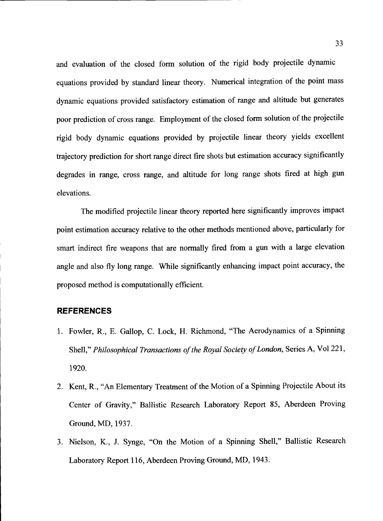and evaluation of the closed form solution of the rigid body projectile dynamic equations provided by standard linear theory. Numerical integration of the point mass dynamic equations provided satisfactory estimation of range and altitude but generates poor prediction of cross range. Employment of the closed form solution of the projectile rigid body dynamic equations provided by projectile linear theory yields excellent trajectory prediction for short range direct fire shots but estimation accuracy significantly degrades in range, cross range, and altitude for long range shots fired at high gun elevations.

The modified projectile linear theory reported here significantly improves impact point estimation accuracy relative to the other methods mentioned above, particularly for smart indirect fire weapons that are normally fired from a gun with a large elevation angle and also fly long range. While significantly enhancing impact point accuracy, the proposed method is computationally efficient.

#### REFERENCES

- 1. Fowler, R., E. Gallop, C. Lock, H. Richmond, "The Aerodynamics of a Spinning Shell," Philosophical Transactions of the Royal Society of London, Series A, Vol 221, 1920.
- 2. Kent, R., "An Elementary Treatment of the Motion of a Spinning Projectile About its Center of Gravity," Ballistic Research Laboratory Report 85, Aberdeen Proving Ground, MD, 1937.
- 3. Nielson, K., J. Synge, "On the Motion of a Spinning Shell," Ballistic Research Laboratory Report 116, Aberdeen Proving Ground, MD, 1943.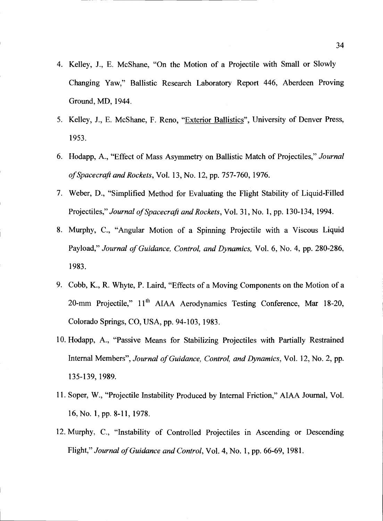- 4. Kelley, J., E. McShane, "On the Motion of a Projectile with Small or Slowly Changing Yaw," Ballistic Research Laboratory Report 446, Aberdeen Proving Ground, MD, 1944.
- 5. Kelley, J., E. McShane, F. Reno, "Exterior Ballistics", University of Denver Press, 1953.
- 6. Hodapp, A., "Effect of Mass Asymmetry on Ballistic Match of Projectiles," Journal of Spacecraft and Rockets, Vol. 13, No. 12, pp. 757-760, 1976.
- 7. Weber, D., "Simplified Method for Evaluating the Flight Stability of Liquid-Filled Projectiles," Journal of Spacecraft and Rockets, Vol. 31, No. 1, pp. 130-134, 1994.
- 8. Murphy, C., "Angular Motion of a Spinning Projectile with a Viscous Liquid Payload," Journal of Guidance, Control, and Dynamics, Vol. 6, No. 4, pp. 280-286, 1983.
- 9. Cobb, K., R. Whyte, P. Laird, "Effects of a Moving Components on the Motion of a 20-mm Projectile," 11<sup>th</sup> AIAA Aerodynamics Testing Conference, Mar 18-20, Colorado Springs, CO, USA, pp. 94-103, 1983.
- 10. Hodapp, A., "Passive Means for Stabilizing Projectiles with Partially Restrained Internal Members", Journal of Guidance, Control, and Dynamics, Vol. 12, No. 2, pp. 135-139, 1989.
- 11. Soper, W., "Projectile Instability Produced by Internal Friction," AIAA Journal, Vol. 16,No. 1, pp. 8-li, 1978.
- 12. Murphy, C., "Instability of Controlled Projectiles in Ascending or Descending Flight," Journal of Guidance and Control, Vol. 4, No. 1, pp. 66-69, 1981.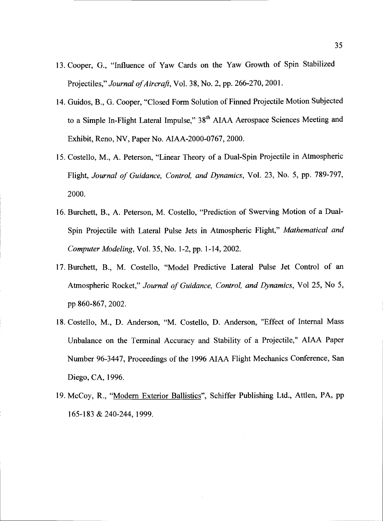- 13. Cooper, G., "Influence of Yaw Cards on the Yaw Growth of Spin Stabilized Projectiles," Journal of Aircraft, Vol. 38, No. 2, pp. 266-270, 2001.
- 14. Guidos, B., G. Cooper, "Closed Form Solution of Finned Projectile Motion Subjected to a Simple In-Flight Lateral Impulse," 38<sup>th</sup> AIAA Aerospace Sciences Meeting and Exhibit, Reno, NV, Paper No. AIAA-2000-0767, 2000.
- 15. Costello, M., A. Peterson, "Linear Theory of a Dual-Spin Projectile in Atmospheric Flight, Journal of Guidance, Control, and Dynamics, Vol. 23, No. 5, pp. 789-797, 2000.
- 16. Burchett, B., A. Peterson, M. Costello, "Prediction of Swerving Motion of a Dual-Spin Projectile with Lateral Pulse Jets in Atmospheric Flight," Mathematical and Computer Modeling, Vol. 35, No. 1-2, pp. 1-14, 2002.
- 17. Burchett, B., M. Costello, "Model Predictive Lateral Pulse Jet Control of an Atmospheric Rocket," Journal of Guidance, Control, and Dynamics, Vol 25, No 5, pp 860-867, 2002.
- 18. Costello, M., D. Anderson, "M. Costello, D. Anderson, "Effect of Intemal Mass Unbalance on the Terminal Accuracy and Stability of a Projectile," AIAA Paper Number 96-3 447, Proceedings of the 1996 AIAA Flight Mechanics Conference, San Diego, CA, 1996.
- 19. McCoy, R., "Modem Exterior Ballistics", Schiffer Publishing Ltd., Attlen, PA, pp 165-183 & 240-244, 1999.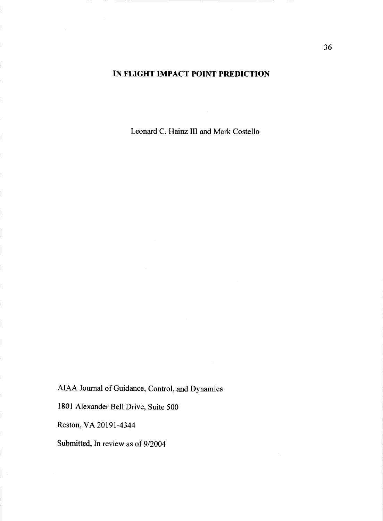# IN FLIGHT IMPACT POINT PREDICTION

Leonard C. Hainz III and Mark Costello

AIAA Journal of Guidance, Control, and Dynamics

1801 Alexander Bell Drive, Suite 500

Reston, VA 20191-4344

Submitted, In review as of 9/2004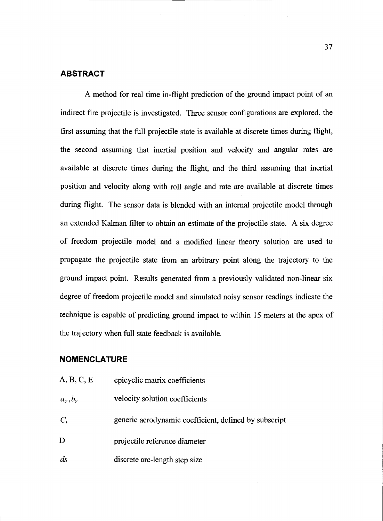# ABSTRACT

A method for real time in-flight prediction of the ground impact point of an indirect fire projectile is investigated. Three sensor configurations are explored, the first assuming that the full projectile state is available at discrete times during flight, the second assuming that inertial position and velocity and angular rates are available at discrete times during the flight, and the third assuming that inertial position and velocity along with roll angle and rate are available at discrete times during flight. The sensor data is blended with an internal projectile model through an extended Kalman filter to obtain an estimate of the projectile state. A six degree of freedom projectile model and a modified linear theory solution are used to propagate the projectile state from an arbitrary point along the trajectory to the ground impact point. Results generated from a previously validated non-linear six degree of freedom projectile model and simulated noisy sensor readings indicate the technique is capable of predicting ground impact to within 15 meters at the apex of the trajectory when full state feedback is available.

# NOMENCLATURE

| A, B, C, E      | epicyclic matrix coefficients                         |
|-----------------|-------------------------------------------------------|
| $a_v, b_v$      | velocity solution coefficients                        |
| $C_{\star}$     | generic aerodynamic coefficient, defined by subscript |
| D               | projectile reference diameter                         |
| $\mathfrak{ds}$ | discrete arc-length step size                         |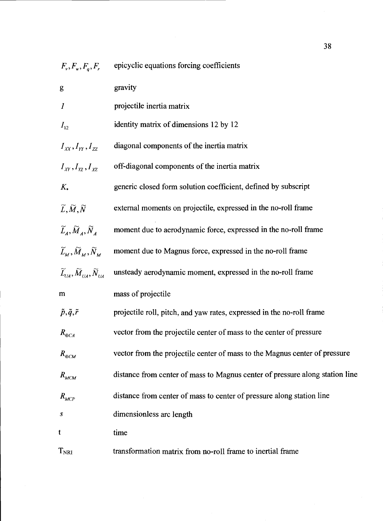$F_v, F_w, F_q, F_r$  epicyclic equations forcing coefficients

| g                                                                                                                        | gravity                                                                      |
|--------------------------------------------------------------------------------------------------------------------------|------------------------------------------------------------------------------|
| $\boldsymbol{I}$                                                                                                         | projectile inertia matrix                                                    |
| $I_{12}$                                                                                                                 | identity matrix of dimensions 12 by 12                                       |
| $I_{xx}, I_{rr}, I_{zz}$                                                                                                 | diagonal components of the inertia matrix                                    |
| $I_{XY}, I_{YZ}, I_{XZ}$                                                                                                 | off-diagonal components of the inertia matrix                                |
| $K_{\star}$                                                                                                              | generic closed form solution coefficient, defined by subscript               |
| $\widetilde{L},\widetilde{M},\widetilde{N}$                                                                              | external moments on projectile, expressed in the no-roll frame               |
| $\widetilde{L}_4, \widetilde{M}_4, \widetilde{N}_4$                                                                      | moment due to aerodynamic force, expressed in the no-roll frame              |
| $\widetilde{L}_{\scriptscriptstyle M}, \widetilde{M}_{\scriptscriptstyle M}, \widetilde{N}_{\scriptscriptstyle M}$       | moment due to Magnus force, expressed in the no-roll frame                   |
| $\widetilde{L}_{\scriptscriptstyle I/A}, \widetilde{M}_{\scriptscriptstyle IIA}, \widetilde{N}_{\scriptscriptstyle IIA}$ | unsteady aerodynamic moment, expressed in the no-roll frame                  |
| m                                                                                                                        | mass of projectile                                                           |
| $\tilde{p}, \tilde{q}, \tilde{r}$                                                                                        | projectile roll, pitch, and yaw rates, expressed in the no-roll frame        |
| $R_{\oplus CA}$                                                                                                          | vector from the projectile center of mass to the center of pressure          |
| $R_{\oplus CM}$                                                                                                          | vector from the projectile center of mass to the Magnus center of pressure   |
| $R_{MCM}$                                                                                                                | distance from center of mass to Magnus center of pressure along station line |
| $R_{MCP}$                                                                                                                | distance from center of mass to center of pressure along station line        |
| S                                                                                                                        | dimensionless arc length                                                     |
| t                                                                                                                        | time                                                                         |
| T <sub>NRI</sub>                                                                                                         | transformation matrix from no-roll frame to inertial frame                   |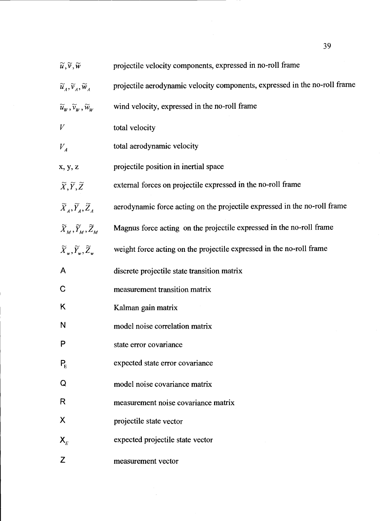| $\widetilde{u},\widetilde{v},\widetilde{w}$                                                                        | projectile velocity components, expressed in no-roll frame                 |
|--------------------------------------------------------------------------------------------------------------------|----------------------------------------------------------------------------|
| $\widetilde{u}_A, \widetilde{v}_A, \widetilde{w}_A$                                                                | projectile aerodynamic velocity components, expressed in the no-roll frame |
| $\widetilde{u}_w, \widetilde{v}_w, \widetilde{w}_w$                                                                | wind velocity, expressed in the no-roll frame                              |
| V                                                                                                                  | total velocity                                                             |
| $V_{A}$                                                                                                            | total aerodynamic velocity                                                 |
| x, y, z                                                                                                            | projectile position in inertial space                                      |
| $\widetilde{X}, \widetilde{Y}, \widetilde{Z}$                                                                      | external forces on projectile expressed in the no-roll frame               |
| $\widetilde{X}_4, \widetilde{Y}_4, \widetilde{Z}_4$                                                                | aerodynamic force acting on the projectile expressed in the no-roll frame  |
| $\widetilde{X}_{\scriptscriptstyle M}, \widetilde{Y}_{\scriptscriptstyle M}, \widetilde{Z}_{\scriptscriptstyle M}$ | Magnus force acting on the projectile expressed in the no-roll frame       |
| $\widetilde{X}_{\ldots}, \widetilde{Y}_{\ldots}, \widetilde{Z}_{\ldots}$                                           | weight force acting on the projectile expressed in the no-roll frame       |
| A                                                                                                                  | discrete projectile state transition matrix                                |
| $\mathbf C$                                                                                                        | measurement transition matrix                                              |
| Κ                                                                                                                  | Kalman gain matrix                                                         |
| N                                                                                                                  | model noise correlation matrix                                             |
| P                                                                                                                  | state error covariance                                                     |
| $P_{E}$                                                                                                            | expected state error covariance                                            |
| Q                                                                                                                  | model noise covariance matrix                                              |
| R                                                                                                                  | measurement noise covariance matrix                                        |
| Χ                                                                                                                  | projectile state vector                                                    |
| $\mathsf{X}_{\scriptscriptstyle E}$                                                                                | expected projectile state vector                                           |
| Z                                                                                                                  | measurement vector                                                         |

 $\mathcal{A}^{\mathcal{A}}$ 

 $39$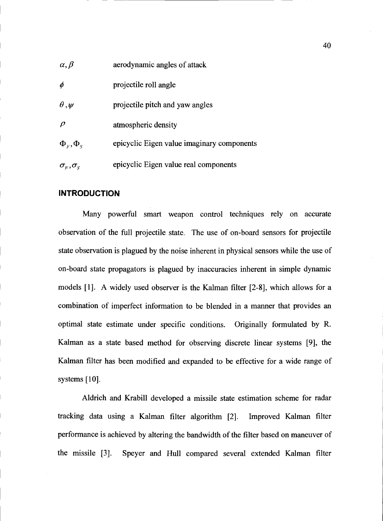| $\alpha, \beta$                                                      | aerodynamic angles of attack               |
|----------------------------------------------------------------------|--------------------------------------------|
| $\phi$                                                               | projectile roll angle                      |
| $\theta,\psi$                                                        | projectile pitch and yaw angles            |
| $\rho$                                                               | atmospheric density                        |
| $\Phi_{\kappa}, \Phi_{\kappa}$                                       | epicyclic Eigen value imaginary components |
| $\sigma_{\scriptscriptstyle F}^{}, \sigma_{\scriptscriptstyle S}^{}$ | epicyclic Eigen value real components      |

## INTRODUCTION

Many powerful smart weapon control techniques rely on accurate observation of the full projectile state. The use of on-board sensors for projectile state observation is plagued by the noise inherent in physical sensors while the use of on-board state propagators is plagued by inaccuracies inherent in simple dynamic models [lj. A widely used observer is the Kalman filter [2-81, which allows for a combination of imperfect information to be blended in a manner that provides an optimal state estimate under specific conditions. Originally formulated by R. Kalman as a state based method for observing discrete linear systems [9], the Kalman filter has been modified and expanded to be effective for a wide range of systems [10].

Aldrich and Krabill developed a missile state estimation scheme for radar tracking data using a Kalman filter algorithm [2]. Improved Kalman filter performance is achieved by altering the bandwidth of the filter based on maneuver of the missile [3]. Speyer and Hull compared several extended Kalman filter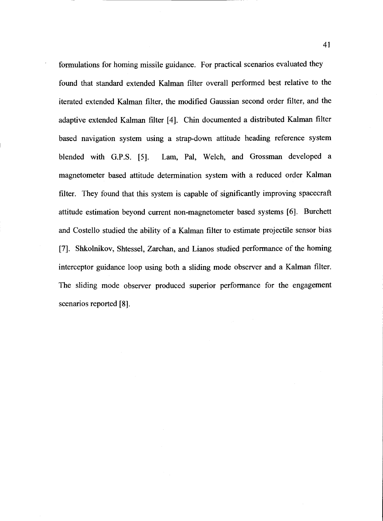formulations for homing missile guidance. For practical scenarios evaluated they found that standard extended Kalman filter overall performed best relative to the iterated extended Kalman filter, the modified Gaussian second order filter, and the adaptive extended Kalman filter [4]. Chin documented a distributed Kalman filter based navigation system using a strap-down attitude heading reference system blended with G.P.S. [5]. Lam, Pal, Welch, and Grossman developed a magnetometer based attitude determination system with a reduced order Kalman filter. They found that this system is capable of significantly improving spacecraft attitude estimation beyond current non-magnetometer based systems [6]. Burchett and Costello studied the ability of a Kalman filter to estimate projectile sensor bias [7]. Shkolnikov, Shtessel, Zarchan, and Lianos studied performance of the homing interceptor guidance loop using both a sliding mode observer and a Kalman filter. The sliding mode observer produced superior performance for the engagement scenarios reported [8].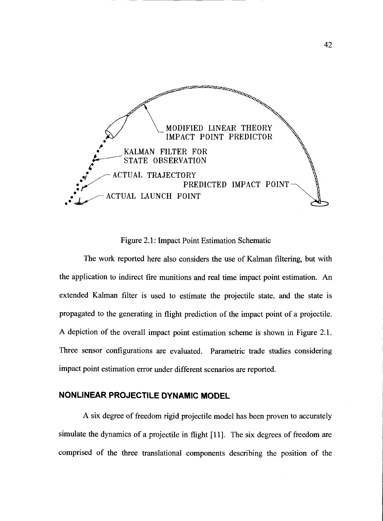

Figure 2.1: Impact Point Estimation Schematic

The work reported here also considers the use of Kalman filtering, but with the application to indirect fire munitions and real time impact point estimation. An extended Kalman filter is used to estimate the projectile state, and the state is propagated to the generating in flight prediction of the impact point of a projectile. A depiction of the overall impact point estimation scheme is shown in Figure 2.1. Three sensor configurations are evaluated. Parametric trade studies considering impact point estimation error under different scenarios are reported.

# NONLINEAR PROJECTILE DYNAMIC MODEL

A six degree of freedom rigid projectile model has been proven to accurately simulate the dynamics of a projectile in flight [11]. The six degrees of freedom are comprised of the three translational components describing the position of the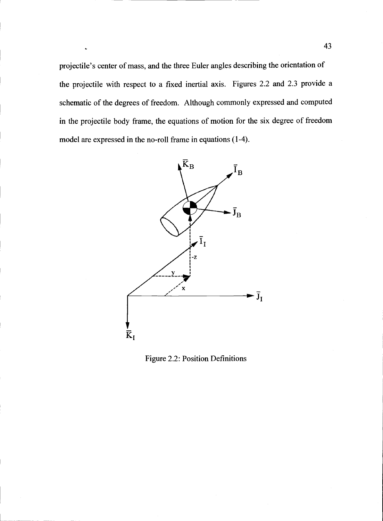projectile's center of mass, and the three Euler angles describing the orientation of the projectile with respect to a fixed inertial axis. Figures 2.2 and 2.3 provide a schematic of the degrees of freedom. Although commonly expressed and computed in the projectile body frame, the equations of motion for the six degree of freedom model are expressed in the no-roll frame in equations (1-4).



Figure 2.2: Position Definitions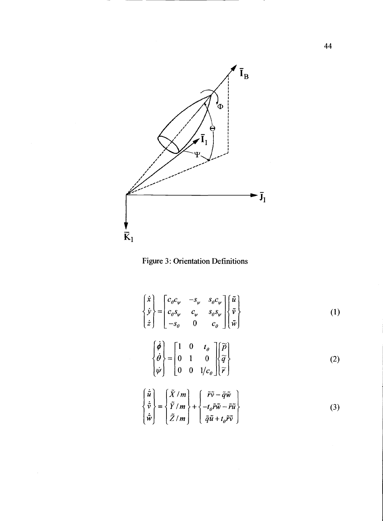



$$
\begin{Bmatrix} \dot{x} \\ \dot{y} \\ \dot{z} \end{Bmatrix} = \begin{bmatrix} c_{\theta}c_{\psi} & -s_{\psi} & s_{\theta}c_{\psi} \\ c_{\theta}s_{\psi} & c_{\psi} & s_{\theta}s_{\psi} \\ -s_{\theta} & 0 & c_{\theta} \end{bmatrix} \begin{Bmatrix} \tilde{u} \\ \tilde{v} \\ \tilde{w} \end{Bmatrix}
$$
 (1)

$$
\begin{Bmatrix} \phi \\ \dot{\theta} \\ \dot{\psi} \end{Bmatrix} = \begin{bmatrix} 1 & 0 & t_{\theta} \\ 0 & 1 & 0 \\ 0 & 0 & 1/c_{\theta} \end{bmatrix} \begin{Bmatrix} \widetilde{p} \\ \widetilde{q} \\ \widetilde{r} \end{Bmatrix}
$$
 (2)

$$
\begin{Bmatrix} \dot{\tilde{u}} \\ \dot{\tilde{v}} \\ \dot{\tilde{w}} \end{Bmatrix} = \begin{Bmatrix} \tilde{X}/m \\ \tilde{Y}/m \\ \tilde{Z}/m \end{Bmatrix} + \begin{Bmatrix} \tilde{r}\tilde{v} - \tilde{q}\tilde{w} \\ -t_{\theta}\tilde{r}\tilde{w} - \tilde{r}\tilde{u} \\ \tilde{q}\tilde{u} + t_{\theta}\tilde{r}\tilde{v} \end{Bmatrix}
$$
(3)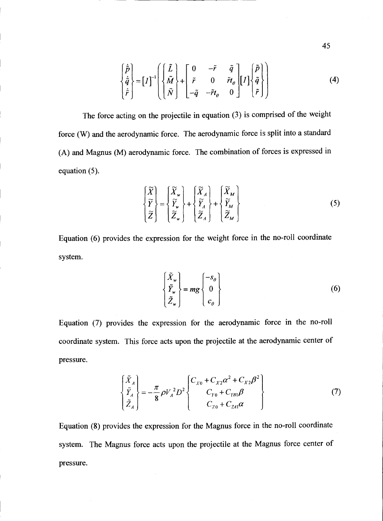$$
\begin{Bmatrix} \dot{\tilde{p}} \\ \dot{\tilde{q}} \\ \dot{\tilde{r}} \end{Bmatrix} = [I]^{-1} \begin{Bmatrix} \begin{bmatrix} \tilde{L} \\ \tilde{M} \\ \tilde{N} \end{bmatrix} + \begin{bmatrix} 0 & -\tilde{r} & \tilde{q} \\ \tilde{r} & 0 & \tilde{r}t_{\theta} \\ -\tilde{q} & -\tilde{r}t_{\theta} & 0 \end{bmatrix} [I] \begin{Bmatrix} \tilde{p} \\ \tilde{q} \\ \tilde{r} \end{Bmatrix}
$$
\n(4)

The force acting on the projectile in equation (3) is comprised of the weight force (W) and the aerodynamic force. The aerodynamic force is split into a standard (A) and Magnus (M) aerodynamic force. The combination of forces is expressed in equation (5).

$$
\begin{Bmatrix} \widetilde{X} \\ \widetilde{Y} \\ \widetilde{Z} \end{Bmatrix} = \begin{Bmatrix} \widetilde{X}_{w} \\ \widetilde{Y}_{w} \\ \widetilde{Z}_{w} \end{Bmatrix} + \begin{Bmatrix} \widetilde{X}_{A} \\ \widetilde{Y}_{A} \\ \widetilde{Z}_{A} \end{Bmatrix} + \begin{Bmatrix} \widetilde{X}_{M} \\ \widetilde{Y}_{M} \\ \widetilde{Z}_{M} \end{Bmatrix}
$$
\n(5)

Equation (6) provides the expression for the weight force in the no-roll coordinate system.

$$
\begin{Bmatrix} \tilde{X}_w \\ \tilde{Y}_w \\ \tilde{Z}_w \end{Bmatrix} = mg \begin{Bmatrix} -s_{\theta} \\ 0 \\ c_{\theta} \end{Bmatrix}
$$
 (6)

Equation (7) provides the expression for the aerodynamic force in the no-roll coordinate system. This force acts upon the projectile at the aerodynamic center of pressure.

$$
\begin{Bmatrix} \tilde{X}_A \\ \tilde{Y}_A \\ \tilde{Z}_A \end{Bmatrix} = -\frac{\pi}{8} \rho V_A^2 D^2 \begin{Bmatrix} C_{X0} + C_{X2} \alpha^2 + C_{X2} \beta^2 \\ C_{Y0} + C_{YB1} \beta \\ C_{Z0} + C_{Z41} \alpha \end{Bmatrix}
$$
 (7)

Equation  $(8)$  provides the expression for the Magnus force in the no-roll coordinate system. The Magnus force acts upon the projectile at the Magnus force center of pressure.

45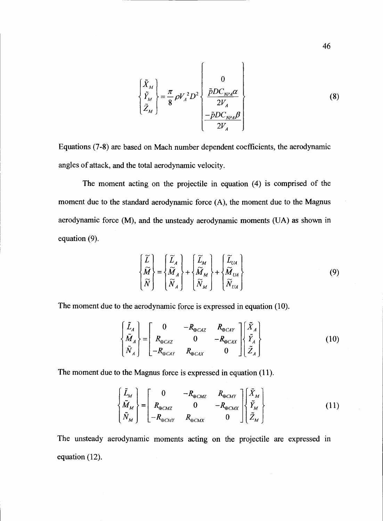$$
\begin{Bmatrix} \tilde{X}_M \\ \tilde{Y}_M \\ \tilde{Z}_M \end{Bmatrix} = \frac{\pi}{8} \rho V_A^2 D^2 \begin{Bmatrix} 0 \\ \frac{\tilde{p}DC_{NPA}\alpha}{2V_A} \\ -\tilde{p}DC_{NPA}\beta \\ \frac{-\tilde{p}DC_{NPA}\beta}{2V_A} \end{Bmatrix}
$$
 (8)

Equations (7-8) are based on Mach number dependent coefficients, the aerodynamic angles of attack, and the total aerodynamic velocity.

The moment acting on the projectile in equation (4) is comprised of the moment due to the standard aerodynamic force (A), the moment due to the Magnus aerodynamic force (M), and the unsteady aerodynamic moments (UA) as shown in equation (9).

$$
\begin{Bmatrix} \widetilde{L} \\ \widetilde{M} \\ \widetilde{N} \end{Bmatrix} = \begin{Bmatrix} \widetilde{L}_A \\ \widetilde{M}_A \\ \widetilde{N}_A \end{Bmatrix} + \begin{Bmatrix} \widetilde{L}_M \\ \widetilde{M}_M \\ \widetilde{N}_M \end{Bmatrix} + \begin{Bmatrix} \widetilde{L}_{UA} \\ \widetilde{M}_{UA} \\ \widetilde{N}_{UA} \end{Bmatrix}
$$
\n(9)

The moment due to the aerodynamic force is expressed in equation (10).

$$
\begin{Bmatrix} \tilde{L}_A \\ \tilde{M}_A \\ \tilde{N}_A \end{Bmatrix} = \begin{bmatrix} 0 & -R_{\oplus CAZ} & R_{\oplus CAY} \\ R_{\oplus CAZ} & 0 & -R_{\oplus CAX} \\ -R_{\oplus CAY} & R_{\oplus CAX} & 0 \end{bmatrix} \begin{Bmatrix} \tilde{X}_A \\ \tilde{Y}_A \\ \tilde{Z}_A \end{Bmatrix}
$$
(10)

The moment due to the Magnus force is expressed in equation (11).

$$
\begin{Bmatrix} \tilde{L}_M \\ \tilde{M}_M \\ \tilde{N}_M \end{Bmatrix} = \begin{bmatrix} 0 & -R_{\oplus CMZ} & R_{\oplus CMY} \\ R_{\oplus CMZ} & 0 & -R_{\oplus CMZ} \\ -R_{\oplus CMY} & R_{\oplus CMX} & 0 \end{bmatrix} \begin{Bmatrix} \tilde{X}_M \\ \tilde{Y}_M \\ \tilde{Z}_M \end{Bmatrix}
$$
(11)

The unsteady aerodynamic moments acting on the projectile are expressed in equation (12).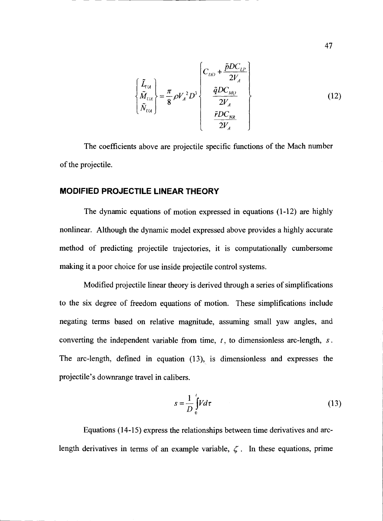$$
\begin{Bmatrix} \tilde{L}_{UA} \\ \tilde{M}_{UA} \\ \tilde{N}_{UA} \end{Bmatrix} = \frac{\pi}{8} \rho V_A^2 D^3 \begin{Bmatrix} C_{DD} + \frac{\tilde{p}DC_{LP}}{2V_A} \\ \frac{\tilde{q}DC_{MQ}}{2V_A} \\ \frac{\tilde{r}DC_{NR}}{2V_A} \end{Bmatrix}
$$
 (12)

The coefficients above are projectile specific functions of the Mach number of the projectile.

## MODIFIED PROJECTILE LINEAR THEORY

The dynamic equations of motion expressed in equations (1-12) are highly nonlinear. Although the dynamic model expressed above provides a highly accurate method of predicting projectile trajectories, it is computationally cumbersome making it a poor choice for use inside projectile control systems.

Modified projectile linear theory is derived through a series of sirnplifications to the six degree of freedom equations of motion. These simplifications include negating terms based on relative magnitude, assuming small yaw angles, and converting the independent variable from time,  $t$ , to dimensionless arc-length,  $s$ . The arc-length, defined in equation (13), is dimensionless and expresses the projectile's downrange travel in calibers.

$$
s = \frac{1}{D} \int_{0}^{L} V d\tau
$$
 (13)

Equations (14-15) express the relationships between time derivatives and arclength derivatives in terms of an example variable,  $\zeta$ . In these equations, prime

47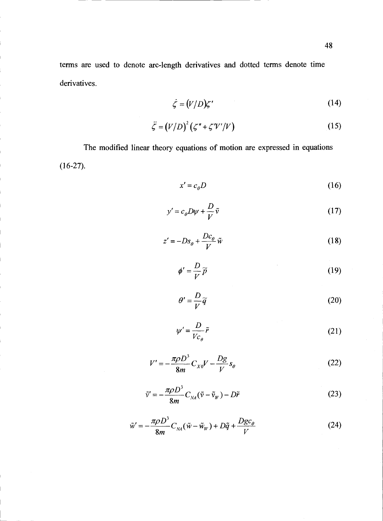terms are used to denote arc-length derivatives and dotted terms denote time derivatives.

$$
\dot{\zeta} = (V/D)\zeta' \tag{14}
$$

$$
\ddot{\zeta} = (V/D)^2 (\zeta'' + \zeta'V'/V) \tag{15}
$$

The modified linear theory equations of motion are expressed in equations  $(16-27).$ 

$$
x' = c_{\theta} D \tag{16}
$$

$$
y' = c_{\theta}D\psi + \frac{D}{V}\tilde{v}
$$
 (17)

$$
z' = -Ds_{\theta} + \frac{Dc_{\theta}}{V}\tilde{w}
$$
 (18)

$$
\phi' = \frac{D}{V}\widetilde{p} \tag{19}
$$

$$
\theta' = -\frac{D}{V}\widetilde{q}
$$
 (20)

$$
\psi' = \frac{D}{V c_{\theta}} \tilde{r}
$$
 (21)

$$
V' = -\frac{\pi \rho D^3}{8m} C_{X0} V - \frac{Dg}{V} s_{\theta}
$$
 (22)

$$
\tilde{\mathbf{v}}' = -\frac{\pi \rho D^3}{8m} C_{N\lambda} (\tilde{\mathbf{v}} - \tilde{\mathbf{v}}_W) - D\tilde{r}
$$
\n(23)

$$
\tilde{w}' = -\frac{\pi \rho D^3}{8m} C_{\scriptscriptstyle NA} (\tilde{w} - \tilde{w}_{\scriptscriptstyle W}) + D\tilde{q} + \frac{Dgc_{\theta}}{V} \tag{24}
$$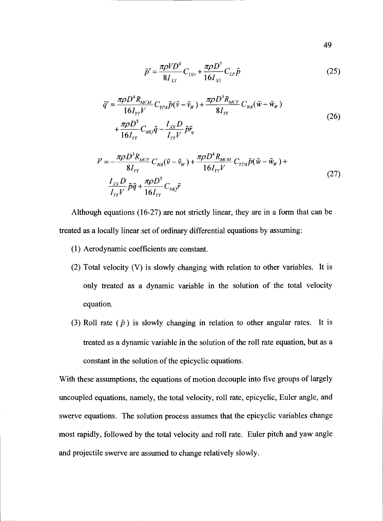$$
\tilde{p}' = \frac{\pi \rho V D^4}{8I_{XX}} C_{DD} + \frac{\pi \rho D^5}{16I_{XX}} C_{LP} \tilde{p}
$$
\n(25)

$$
\tilde{q}' = \frac{\pi \rho D^4 R_{MCM}}{16 I_{YY}} C_{YPA} \tilde{p} (\tilde{v} - \tilde{v}_w) + \frac{\pi \rho D^3 R_{MCP}}{8 I_{YY}} C_{NA} (\tilde{w} - \tilde{w}_w)
$$
  
+ 
$$
\frac{\pi \rho D^5}{16 I_{YY}} C_{MQ} \tilde{q} - \frac{I_{XX} D}{I_{YY}} \tilde{p} \tilde{r}_q
$$
\n(26)

$$
\tilde{r}' = -\frac{\pi \rho D^3 R_{MCP}}{8I_{YY}} C_{\gamma A} (\tilde{v} - \tilde{v}_w) + \frac{\pi \rho D^4 R_{MCM}}{16I_{YY}V} C_{\gamma P A} \tilde{p} (\tilde{w} - \tilde{w}_w) +
$$
  

$$
\frac{I_{XX} D}{I_{YY}V} \tilde{p}\tilde{q} + \frac{\pi \rho D^5}{16I_{YY}} C_{MQ} \tilde{r}
$$
\n(27)

Although equations (16-27) are not strictly linear, they are in a form that can be treated as a locally linear set of ordinary differential equations by assuming:

- (1) Aerodynamic coefficients are constant.
- (2) Total velocity (V) is slowly changing with relation to other variables. It is only treated as a dynamic variable in the solution of the total velocity equation.
- (3) Roll rate ( $\tilde{p}$ ) is slowly changing in relation to other angular rates. It is treated as a dynamic variable in the solution of the roll rate equation, but as a constant in the solution of the epicyclic equations.

With these assumptions, the equations of motion decouple into five groups of largely uncoupled equations, namely, the total velocity, roll rate, epicyclic, Euler angle, and swerve equations. The solution process assumes that the epicyclic variables change most rapidly, followed by the total velocity and roll rate. Euler pitch and yaw angle and projectile swerve are assumed to change relatively slowly.

49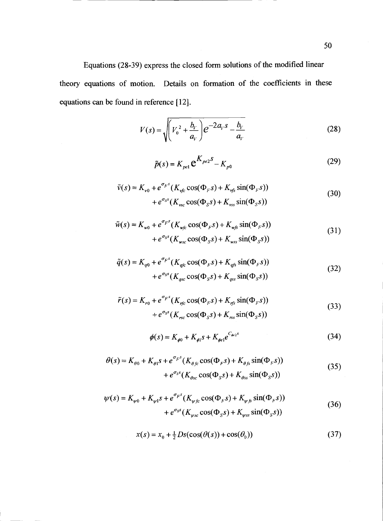Equations (28-39) express the closed form solutions of the modified linear theory equations of motion. Details on formation of the coefficients in these equations can be found in reference [12}.

$$
V(s) = \sqrt{\left(V_0^2 + \frac{b_V}{a_V}\right)} e^{-2a_V s} - \frac{b_V}{a_V}
$$
 (28)

$$
\tilde{p}(s) = K_{pe1} \mathbf{e}^{K_{pe2}S} - K_{p0}
$$
\n(29)

$$
\tilde{v}(s) = K_{\nu 0} + e^{\sigma_F s} (K_{\nu fc} \cos(\Phi_F s) + K_{\nu fs} \sin(\Phi_F s))
$$
  
+ 
$$
e^{\sigma_S s} (K_{\nu sc} \cos(\Phi_S s) + K_{\nu ss} \sin(\Phi_S s))
$$
(30)

$$
\tilde{w}(s) = K_{w0} + e^{\sigma_F s} (K_{wfc} \cos(\Phi_F s) + K_{wfs} \sin(\Phi_F s))
$$
  
+ 
$$
e^{\sigma_S s} (K_{wsc} \cos(\Phi_S s) + K_{wss} \sin(\Phi_S s))
$$
\n(31)

$$
\tilde{q}(s) = K_{q0} + e^{\sigma_F s} (K_{qfc} \cos(\Phi_F s) + K_{qfs} \sin(\Phi_F s))
$$
  
+ 
$$
e^{\sigma_S s} (K_{qsc} \cos(\Phi_S s) + K_{qss} \sin(\Phi_S s))
$$
\n(32)

$$
\tilde{r}(s) = K_{r0} + e^{\sigma_F s} (K_{rfc} \cos(\Phi_F s) + K_{rfs} \sin(\Phi_F s))
$$
  
+ 
$$
e^{\sigma_S s} (K_{rsc} \cos(\Phi_S s) + K_{rss} \sin(\Phi_S s))
$$
\n(33)

$$
\phi(s) = K_{\phi 0} + K_{\phi 1} s + K_{\phi e 1} e^{C_{\phi e 2} s} \tag{34}
$$

$$
\theta(s) = K_{\theta 0} + K_{\theta 1} s + e^{\sigma_F s} (K_{\theta f c} \cos(\Phi_F s) + K_{\theta f s} \sin(\Phi_F s))
$$
  
+ 
$$
e^{\sigma_S s} (K_{\theta s c} \cos(\Phi_S s) + K_{\theta s s} \sin(\Phi_S s))
$$
(35)

$$
\psi(s) = K_{\psi 0} + K_{\psi 1} s + e^{\sigma_F s} (K_{\psi f c} \cos(\Phi_F s) + K_{\psi f s} \sin(\Phi_F s)) + e^{\sigma_s s} (K_{\psi sc} \cos(\Phi_S s) + K_{\psi ss} \sin(\Phi_S s))
$$
(36)

$$
x(s) = x_0 + \frac{1}{2} Ds(\cos(\theta(s)) + \cos(\theta_0))
$$
\n(37)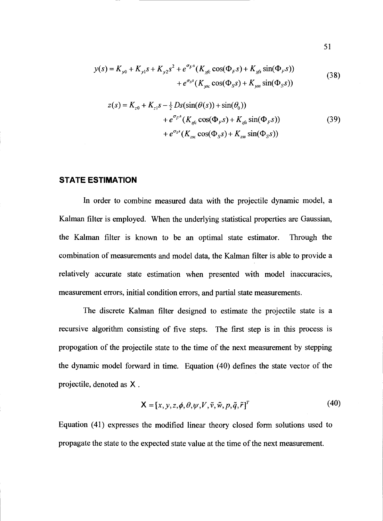$$
y(s) = K_{y0} + K_{y1} s + K_{y2} s^2 + e^{\sigma_F s} (K_{yfc} \cos(\Phi_F s) + K_{yfs} \sin(\Phi_F s))
$$
  
+  $e^{\sigma_S s} (K_{ysc} \cos(\Phi_S s) + K_{yss} \sin(\Phi_S s))$  (38)

$$
z(s) = K_{z0} + K_{z1} s - \frac{1}{2} Ds(\sin(\theta(s)) + \sin(\theta_0)) + e^{\sigma_F s} (K_{zfc} \cos(\Phi_F s) + K_{zfs} \sin(\Phi_F s)) + e^{\sigma_S s} (K_{zsc} \cos(\Phi_S s) + K_{zss} \sin(\Phi_S s))
$$
(39)

# STATE ESTIMATION

In order to combine measured data with the projectile dynamic model, a Kalman filter is employed. When the underlying statistical properties are Gaussian, the Kalman filter is known to be an optimal state estimator. Through the combination of measurements and model data, the Kalman filter is able to provide a relatively accurate state estimation when presented with model inaccuracies, measurement errors, initial condition errors, and partial state measurements.

The discrete Kalman filter designed to estimate the projectile state is a recursive algorithm consisting of five steps. The first step is in this process is propogation of the projectile state to the time of the next measurement by stepping the dynamic model forward in time. Equation (40) defines the state vector of the projectile, denoted as X.

$$
\mathbf{X} = [x, y, z, \phi, \theta, \psi, V, \tilde{v}, \tilde{w}, p, \tilde{q}, \tilde{r}]^T
$$
(40)

Equation (41) expresses the modified linear theory closed form solutions used to propagate the state to the expected state value at the time of the next measurement.

51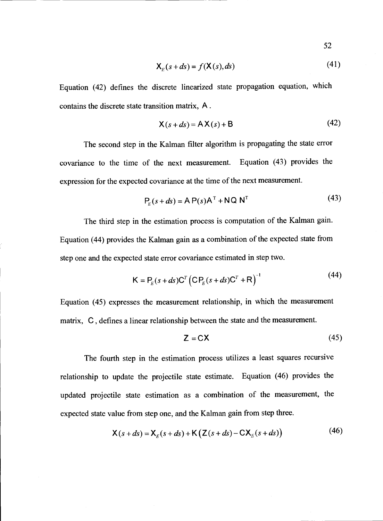$$
52 -
$$

$$
\mathbf{X}_E(s+ds) = f(\mathbf{X}(s), ds) \tag{41}
$$

Equation (42) defines the discrete linearized state propagation equation, which contains the discrete state transition matrix, A.

$$
\mathsf{X}(s+ds) = \mathsf{AX}(s) + \mathsf{B} \tag{42}
$$

The second step in the Kalman filter algorithm is propagating the state error covariance to the time of the next measurement. Equation (43) provides the expression for the expected covariance at the time of the next measurement.

$$
P_E(s+ds) = A P(s)AT + NQ NT
$$
 (43)

The third step in the estimation process is computation of the Kalman gain. Equation (44) provides the Kalman gain as a combination of the expected state from step one and the expected state error covariance estimated in step two.

$$
\mathsf{K} = \mathsf{P}_E(s + ds) \mathsf{C}^T \left( \mathsf{C} \mathsf{P}_E(s + ds) \mathsf{C}^T + \mathsf{R} \right)^{-1}
$$
(44)

Equation (45) expresses the measurement relationship, in which the measurement matrix, C, defines a linear relationship between the state and the measurement.

$$
Z = CX \tag{45}
$$

The fourth step in the estimation process utilizes a least squares recursive relationship to update the projectile state estimate. Equation (46) provides the updated projectile state estimation as a combination of the measurement, the expected state value from step one, and the Kalman gain from step three.

$$
\mathsf{X}(s+ds) = \mathsf{X}_E(s+ds) + \mathsf{K}\left(\mathsf{Z}(s+ds) - \mathsf{C}\mathsf{X}_E(s+ds)\right) \tag{46}
$$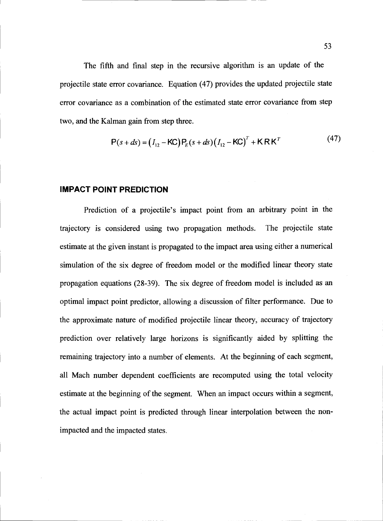The fifth and final step in the recursive algorithm is an update of the projectile state error covariance. Equation (47) provides the updated projectile state error covariance as a combination of the estimated state error covariance from step two, and the Kalman gain from step three.

$$
P(s+ds) = (I_{12} - KC) P_E(s+ds) (I_{12} - KC)^T + KRK^T
$$
 (47)

#### IMPACT POINT PREDICTION

Prediction of a projectile's impact point from an arbitrary point in the trajectory is considered using two propagation methods. The projectile state estimate at the given instant is propagated to the impact area using either a numerical simulation of the six degree of freedom model or the modified linear theory state propagation equations (28-39). The six degree of freedom model is included as an optimal impact point predictor, allowing a discussion of filter performance. Due to the approximate nature of modified projectile linear theory, accuracy of trajectory prediction over relatively large horizons is significantly aided by splitting the remaining trajectory into a number of elements. At the beginning of each segment, all Mach number dependent coefficients are recomputed using the total velocity estimate at the beginning of the segment. When an impact occurs within a segment, the actual impact point is predicted through linear interpolation between the nonimpacted and the impacted states.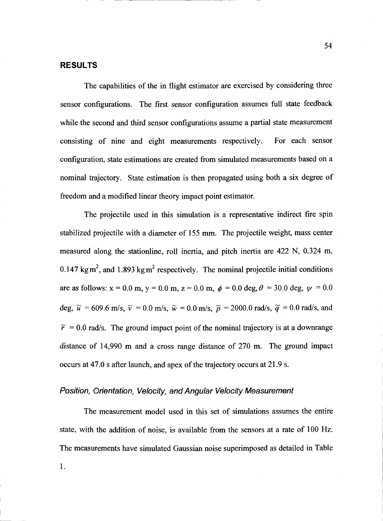#### RESULTS

The capabilities of the in flight estimator are exercised by considering three sensor configurations. The first sensor configuration assumes full state feedback while the second and third sensor configurations assume a partial state measurement consisting of nine and eight measurements respectively. For each sensor configuration, state estimations are created from simulated measurements based on a nominal trajectory. State estimation is then propagated using both a six degree of freedom and a modified linear theory impact point estimator.

The projectile used in this simulation is a representative indirect fire spin stabilized projectile with a diameter of 155 mm. The projectile weight, mass center measured along the stationline, roll inertia, and pitch inertia are 422 N, 0.324 m, 0.147 kgm<sup>2</sup>, and 1.893 kgm<sup>2</sup> respectively. The nominal projectile initial conditions are as follows:  $x = 0.0$  m,  $y = 0.0$  m,  $z = 0.0$  m,  $\phi = 0.0$  deg,  $\theta = 30.0$  deg,  $\psi = 0.0$ deg,  $\tilde{u} = 609.6$  m/s,  $\tilde{v} = 0.0$  m/s,  $\tilde{w} = 0.0$  m/s,  $\tilde{p} = 2000.0$  rad/s,  $\tilde{q} = 0.0$  rad/s, and  $\tilde{r} = 0.0$  rad/s. The ground impact point of the nominal trajectory is at a downrange distance of 14,990 m and a cross range distance of 270 m. The ground impact occurs at 47.0 s after launch, and apex of the trajectory occurs at 21.9 S.

#### Position, Orientation, Velocity, and Angular Velocity Measurement

The measurement model used in this set of simulations assumes the entire state, with the addition of noise, is available from the sensors at a rate of 100 Hz. The measurements have simulated Gaussian noise superimposed as detailed in Table 1.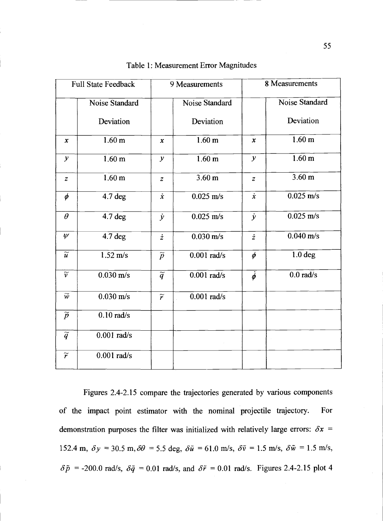| <b>Full State Feedback</b> |                     | 9 Measurements             |                          | 8 Measurements   |                     |
|----------------------------|---------------------|----------------------------|--------------------------|------------------|---------------------|
|                            | Noise Standard      |                            | <b>Noise Standard</b>    |                  | Noise Standard      |
|                            | Deviation           |                            | Deviation                |                  | Deviation           |
| $\mathbf x$                | 1.60 <sub>m</sub>   | $\pmb{\chi}$               | 1.60 <sub>m</sub>        | $\mathbf x$      | $1.60$ m            |
| $\mathcal{Y}$              | 1.60 <sub>m</sub>   | $\mathcal{Y}$              | 1.60 <sub>m</sub>        | $\mathcal{Y}$    | 1.60 <sub>m</sub>   |
| $\boldsymbol{z}$           | 1.60 <sub>m</sub>   | $\boldsymbol{z}$           | $3.60 \text{ m}$         | $\boldsymbol{z}$ | $3.60 \text{ m}$    |
| $\phi$                     | $4.7$ deg           | $\dot{x}$                  | $0.025$ m/s              | $\dot{x}$        | $0.025$ m/s         |
| $\theta$                   | $4.7$ deg           | $\dot{y}$                  | $0.025$ m/s              | $\dot{y}$        | $0.025$ m/s         |
| $\psi$                     | $4.7$ deg           | $\dot{z}$                  | $0.030 \text{ m/s}$      | $\dot{z}$        | $0.040 \text{ m/s}$ |
| $\overline{\widetilde{u}}$ | $1.52 \text{ m/s}$  | $\overline{\widetilde{p}}$ | $0.001$ rad/s            | $\phi$           | $1.0$ deg           |
| $\widetilde{\nu}$          | $0.030 \text{ m/s}$ | $\overline{\widetilde{q}}$ | $0.001$ rad/s            | $\dot{\phi}$     | $0.0$ rad/s         |
| $\widetilde{w}$            | $0.030 \text{ m/s}$ | $\widetilde{r}$            | $\overline{0.001}$ rad/s |                  |                     |
| $\widetilde{p}$            | $0.10$ rad/s        |                            |                          |                  |                     |
| $\overline{\widetilde{q}}$ | $0.001$ rad/s       |                            |                          |                  |                     |
| $\widetilde{r}$            | $0.001$ rad/s       |                            |                          |                  |                     |

| Table 1: Measurement Error Magnitudes |  |
|---------------------------------------|--|
|---------------------------------------|--|

Figures 2.4-2.15 compare the trajectories generated by various components of the impact point estimator with the nominal projectile trajectory. For demonstration purposes the filter was initialized with relatively large errors:  $\delta x =$ 152.4 m,  $\delta y = 30.5$  m,  $\delta \theta = 5.5$  deg,  $\delta \tilde{u} = 61.0$  m/s,  $\delta \tilde{v} = 1.5$  m/s,  $\delta \tilde{w} = 1.5$  m/s,  $\delta \tilde{p}$  = -200.0 rad/s,  $\delta \tilde{q}$  = 0.01 rad/s, and  $\delta \tilde{r}$  = 0.01 rad/s. Figures 2.4-2.15 plot 4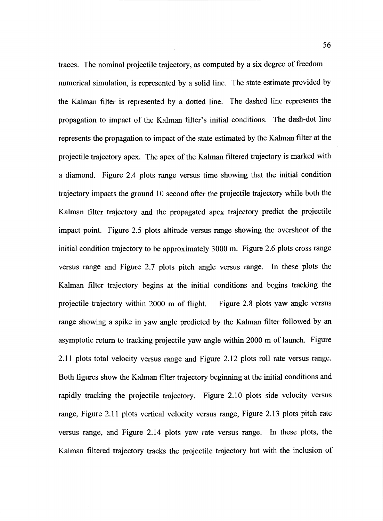traces. The nominal projectile trajectory, as computed by a six degree of freedom numerical simulation, is represented by a solid line. The state estimate provided by the Kalman filter is represented by a dotted line. The dashed line represents the propagation to impact of the Kalman filter's initial conditions. The dash-dot line represents the propagation to impact of the state estimated by the Kalman filter at the projectile trajectory apex. The apex of the Kalman filtered trajectory is marked with a diamond. Figure 2.4 plots range versus time showing that the initial condition trajectory impacts the ground 10 second after the projectile trajectory while both the Kalman filter trajectory and the propagated apex trajectory predict the projectile impact point. Figure 2.5 plots altitude versus range showing the overshoot of the initial condition trajectory to be approximately 3000 m. Figure 2.6 plots cross range versus range and Figure 2.7 plots pitch angle versus range. In these plots the Kalman filter trajectory begins at the initial conditions and begins tracking the projectile trajectory within 2000 m of flight. Figure 2.8 plots yaw angle versus range showing a spike in yaw angle predicted by the Kalman filter followed by an asymptotic return to tracking projectile yaw angle within 2000 m of launch. Figure 2.11 plots total velocity versus range and Figure 2.12 plots roll rate versus range. Both figures show the Kalman filter trajectory beginning at the initial conditions and rapidly tracking the projectile trajectory. Figure 2.10 plots side velocity versus range, Figure 2.11 plots vertical velocity versus range, Figure 2.13 plots pitch rate versus range, and Figure 2.14 plots yaw rate versus range. In these plots, the Kalman filtered trajectory tracks the projectile trajectory but with the inclusion of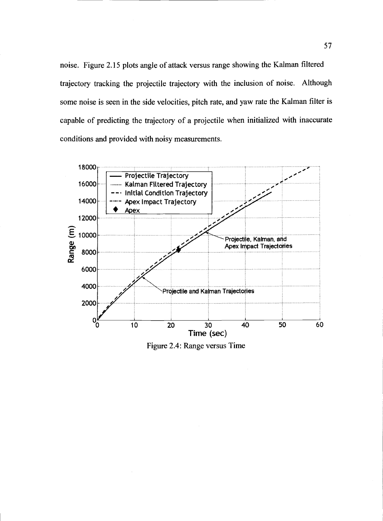noise. Figure 2.15 plots angle of attack versus range showing the Kalman filtered trajectory tracking the projectile trajectory with the inclusion of noise. Although some noise is seen in the side velocities, pitch rate, and yaw rate the Kalman filter is capable of predicting the trajectory of a projectile when initialized with inaccurate conditions and provided with noisy measurements.



Figure 2.4: Range versus Time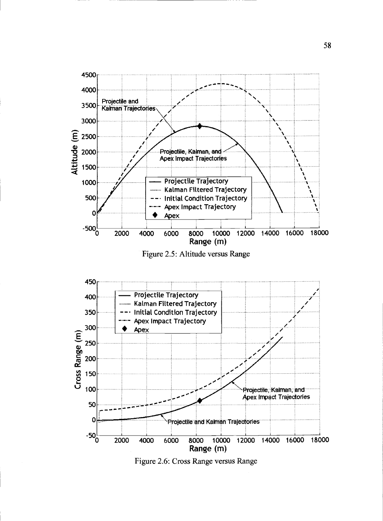

Figure 2.5: Altitude versus Range



Figure 2.6: Cross Range versus Range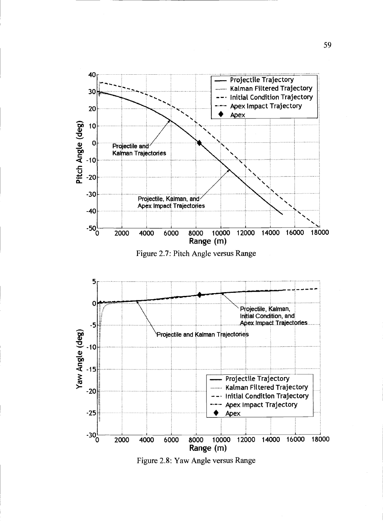



Figure 2.8: Yaw Angle versus Range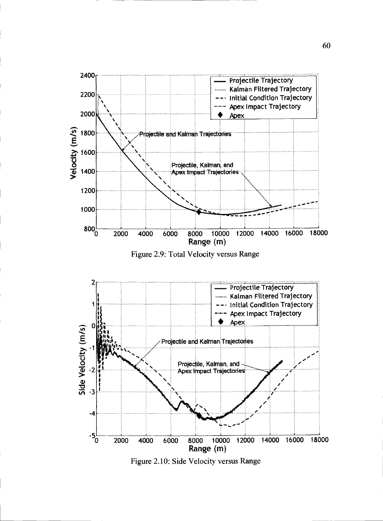

Figure 2.9: Total Velocity versus Range



Figure 2.10: Side Velocity versus Range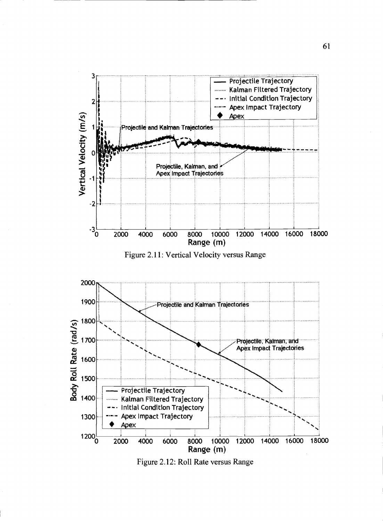





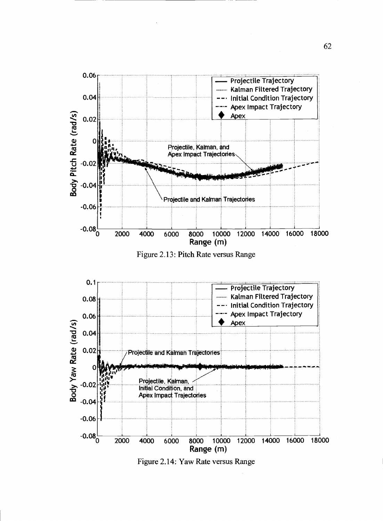

Figure 2.13: Pitch Rate versus Range



Figure 2.14: Yaw Rate versus Range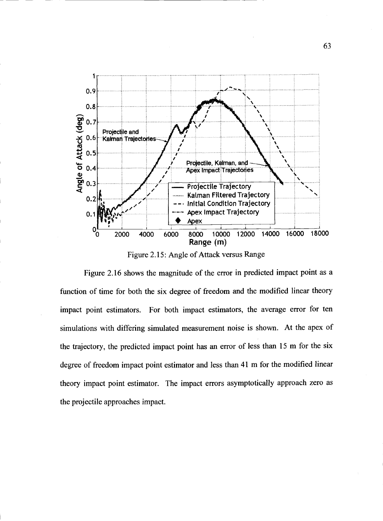

Figure 2.15: Angle of Attack versus Range

Figure 2.16 shows the magnitude of the error in predicted impact point as a function of time for both the six degree of freedom and the modified linear theory impact point estimators. For both impact estimators, the average error for ten simulations with differing simulated measurement noise is shown. At the apex of the trajectory, the predicted impact point has an error of less than 15 m for the six degree of freedom impact point estimator and less than 41 m for the modified linear theory impact point estimator. The impact errors asymptotically approach zero as the projectile approaches impact.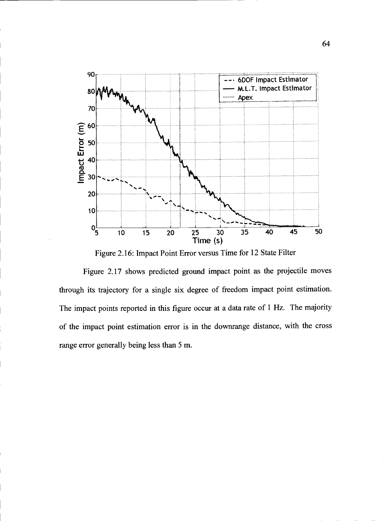

Figure 2.16: Impact Point Error versus Time for 12 State Filter

Figure 2.17 shows predicted ground impact point as the projectile moves through its trajectory for a single six degree of freedom impact point estimation. The impact points reported in this figure occur at a data rate of 1 Hz. The majority of the impact point estimation error is in the dowmange distance, with the cross range error generally being less than 5 m.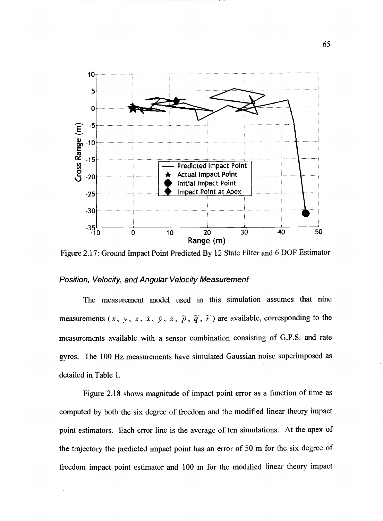

Figure 2.17: Ground Impact Point Predicted By 12 State Filter and 6 DOF Estimator

#### Position, Velocity, and Angular Velocity Measurement

The measurement model used in this simulation assumes that nine measurements  $(x, y, z, \dot{x}, \dot{y}, \dot{z}, \tilde{p}, \tilde{q}, \tilde{r})$  are available, corresponding to the measurements available with a sensor combination consisting of G.P.S. and rate gyros. The 100 Hz measurements have simulated Gaussian noise superimposed as detailed in Table 1.

Figure 2.18 shows magnitude of impact point error as a function of time as computed by both the six degree of freedom and the modified linear theory impact point estimators. Each error line is the average of ten simulations. At the apex of the trajectory the predicted impact point has an error of 50 m for the six degree of freedom impact point estimator and 100 m for the modified linear theory impact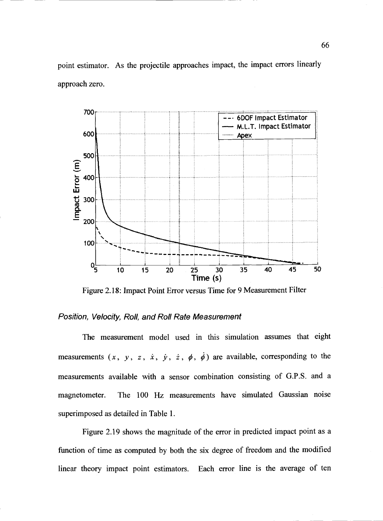point estimator. As the projectile approaches impact, the impact errors linearly approach zero.



Figure 2.18: Impact Point Error versus Time for 9 Measurement Filter

## Position, Velocity, Roll, and Roll Rate Measurement

The measurement model used in this simulation assumes that eight measurements  $(x, y, z, \dot{x}, \dot{y}, \dot{z}, \dot{\phi}, \dot{\phi})$  are available, corresponding to the measurements available with a sensor combination consisting of G.P.S. and a magnetometer. The 100 Hz measurements have simulated Gaussian noise superimposed as detailed in Table 1.

Figure 2.19 shows the magnitude of the error in predicted impact point as a function of time as computed by both the six degree of freedom and the modified linear theory impact point estimators. Each error line is the average of ten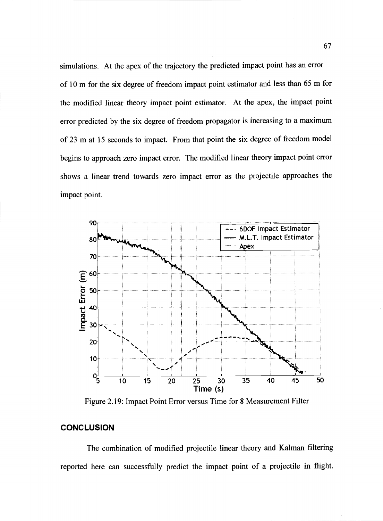simulations. At the apex of the trajectory the predicted impact point has an error of 10 m for the six degree of freedom impact point estimator and less than 65 m for the modified linear theory impact point estimator. At the apex, the impact point error predicted by the six degree of freedom propagator is increasing to a maximum of 23 m at 15 seconds to impact. From that point the six degree of freedom model begins to approach zero impact error. The modified linear theory impact point error shows a linear trend towards zero impact error as the projectile approaches the impact point.



Figure 2.19: Impact Point Error versus Time for 8 Measurement Filter

# **CONCLUSION**

The combination of modified projectile linear theory and Kalman filtering reported here can successfully predict the impact point of a projectile in flight.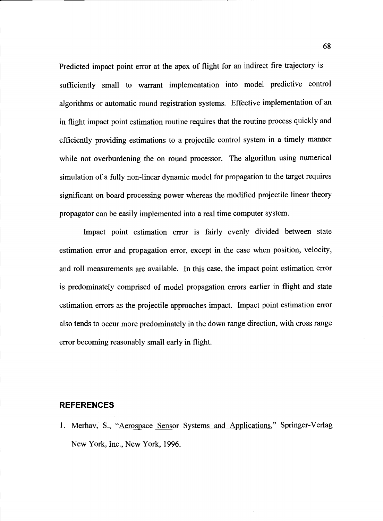Predicted impact point error at the apex of flight for an indirect fire trajectory is sufficiently small to warrant implementation into model predictive control algorithms or automatic round registration systems. Effective implementation of an in flight impact point estimation routine requires that the routine process quickly and efficiently providing estimations to a projectile control system in a timely manner while not overburdening the on round processor. The algorithm using numerical simulation of a filly non-linear dynamic model for propagation to the target requires significant on board processing power whereas the modified projectile linear theory propagator can be easily implemented into a real time computer system.

Impact point estimation error is fairly evenly divided between state estimation error and propagation error, except in the case when position, velocity, and roll measurements are available. In this case, the impact point estimation error is predominately comprised of model propagation errors earlier in flight and state estimation errors as the projectile approaches impact. Impact point estimation error also tends to occur more predominately in the down range direction, with cross range error becoming reasonably small early in flight.

### **REFERENCES**

I. Merhav, S., "Aerospace Sensor Systems and Applications," Springer-Verlag New York, Inc., New York, 1996.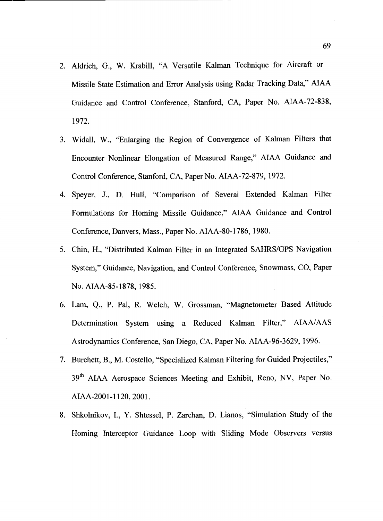- 2. Aldrich, G., W. Krabill, "A Versatile Kalman Technique for Aircraft or Missile State Estimation and Error Analysis using Radar Tracking Data," AIAA Guidance and Control Conference, Stanford, CA, Paper No. AIAA-72-838, 1972.
- 3. Widall, W., "Enlarging the Region of Convergence of Kalman Filters that Encounter Nonlinear Elongation of Measured Range," AIAA Guidance and Control Conference, Stanford, CA, Paper No. AIAA-72-879, 1972.
- 4. Speyer, J., D. Hull, "Comparison of Several Extended Kalman Filter Formulations for Homing Missile Guidance," AIAA Guidance and Control Conference, Danvers, Mass., Paper No. AIAA-80-1786, 1980.
- 5. Chin, H., "Distributed Kalman Filter in an Integrated SAHRS/GPS Navigation System," Guidance, Navigation, and Control Conference, Snowmass, CO, Paper No. AIAA-85-1878, 1985.
- 6. Lam, Q., P. Pal, R. Welch, W. Grossman, "Magnetometer Based Attitude Determination System using a Reduced Kalman Filter," AIAA/AAS Astrodynamics Conference, San Diego, CA, Paper No. AIAA-96-3629, 1996.
- 7. Burchett, B., M. Costello, "Specialized Kalman Filtering for Guided Projectiles," 39<sup>th</sup> AIAA Aerospace Sciences Meeting and Exhibit, Reno, NV, Paper No. AIAA-2001-1120, 2001.
- 8. Shkolnikov, I., Y. Shtessel, P. Zarchan, D. Lianos, "Simulation Study of the Homing Interceptor Guidance Loop with Sliding Mode Observers versus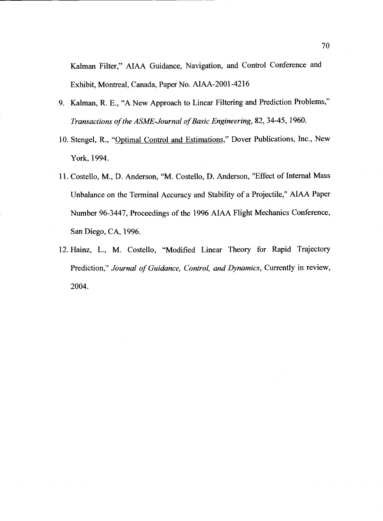Kalman Filter," AIAA Guidance, Navigation, and Control Conference and Exhibit, Montreal, Canada, Paper No. AIAA-2001-4216

- 9. Kalman, R. E., "A New Approach to Linear Filtering and Prediction Problems," Transactions of the ASME-Journal of Basic Engineering, 82, 34-45, 1960.
- 10. Stengel, R., "Optimal Control and Estimations," Dover Publications, Inc., New York, 1994.
- 11. Costello, M., D. Anderson, "M. Costello, D. Anderson, "Effect of Internal Mass Unbalance on the Terminal Accuracy and Stability of a Projectile," AIAA Paper Number 96-3447, Proceedings of the 1996 AIAA Flight Mechanics Conference, San Diego, CA, 1996.
- 12. Hainz, L., M. Costello, "Modified Linear Theory for Rapid Trajectory Prediction," Journal of Guidance, Control, and Dynamics, Currently in review, 2004.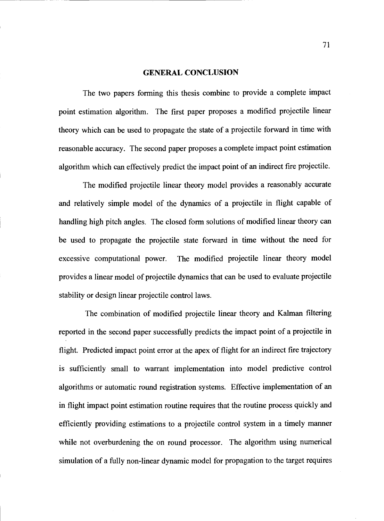#### GENERAL CONCLUSION

The two papers forming this thesis combine to provide a complete impact point estimation algorithm. The first paper proposes a modified projectile linear theory which can be used to propagate the state of a projectile forward in time with reasonable accuracy. The second paper proposes a complete impact point estimation algorithm which can effectively predict the impact point of an indirect fire projectile.

The modified projectile linear theory model provides a reasonably accurate and relatively simple model of the dynamics of a projectile in flight capable of handling high pitch angles. The closed form solutions of modified linear theory can be used to propagate the projectile state forward in time without the need for excessive computational power. The modified projectile linear theory model provides a linear model of projectile dynamics that can be used to evaluate projectile stability or design linear projectile control laws.

The combination of modified projectile linear theory and Kalman filtering reported in the second paper successfully predicts the impact point of a projectile in flight. Predicted impact point error at the apex of flight for an indirect fire trajectory is sufficiently small to warrant implementation into model predictive control algorithms or automatic round registration systems. Effective implementation of an in flight impact point estimation routine requires that the routine process quickly and efficiently providing estimations to a projectile control system in a timely manner while not overburdening the on round processor. The algorithm using numerical simulation of a fully non-linear dynamic model for propagation to the target requires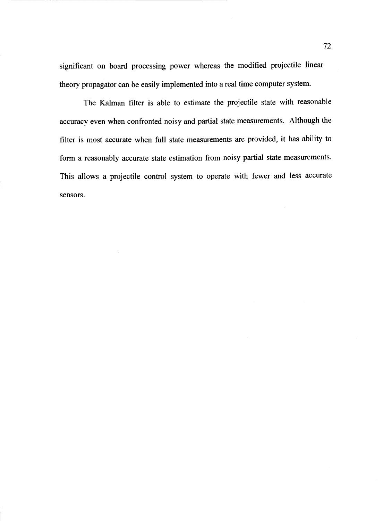significant on board processing power whereas the modified projectile linear theory propagator can be easily implemented into a real time computer system.

The Kalman filter is able to estimate the projectile state with reasonable accuracy even when confronted noisy and partial state measurements. Although the filter is most accurate when full state measurements are provided, it has ability to form a reasonably accurate state estimation from noisy partial state measurements. This allows a projectile control system to operate with fewer and less accurate sensors.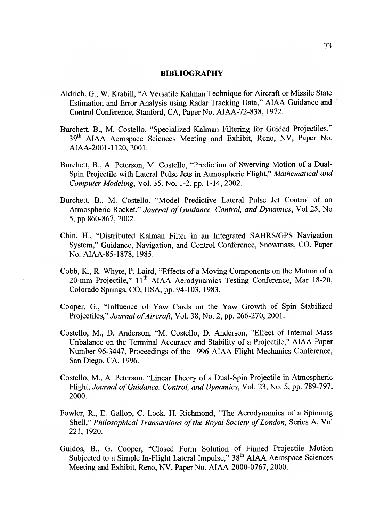#### BIBLIOGRAPHY

- Aldrich, G., W. Krabill, "A Versatile Kalman Technique for Aircraft or Missile State Estimation and Error Analysis using Radar Tracking Data," AIAA Guidance and Control Conference, Stanford, CA, Paper No. AIAA-72-838, 1972.
- Burchett, B., M. Costello, "Specialized Kalman Filtering for Guided Projectiles," 39<sup>th</sup> AIAA Aerospace Sciences Meeting and Exhibit, Reno, NV, Paper No. AIAA-2001-1 120, 2001.
- Burchett, B., A. Peterson, M. Costello, "Prediction of Swerving Motion of a Dual-Spin Projectile with Lateral Pulse Jets in Atmospheric Flight," Mathematical and Computer Modeling, Vol. 35, No. 1-2, pp. 1-14, 2002.
- Burchett, B., M. Costello, "Model Predictive Lateral Pulse Jet Control of an Atmospheric Rocket," Journal of Guidance, Control, and Dynamics, Vol 25, No 5, pp 860-867, 2002.
- Chin, H., "Distributed Kalman Filter in an Integrated SAHRS/GPS Navigation System," Guidance, Navigation, and Control Conference, Snowmass, CO, Paper No. AIAA-85-1878, 1985.
- Cobb, K., R. Whyte, P. Laird, "Effects of a Moving Components on the Motion of a 20-mm Projectile," 11<sup>th</sup> AIAA Aerodynamics Testing Conference, Mar 18-20, Colorado Springs, CO. USA, pp. 94-103, 1983.
- Cooper, G., "Influence of Yaw Cards on the Yaw Growth of Spin Stabilized Projectiles," Journal of Aircraft, Vol. 38, No. 2, pp. 266-270, 2001.
- Costello, M., D. Anderson, "M. Costello, D. Anderson, "Effect of Internal Mass Unbalance on the Terminal Accuracy and Stability of a Projectile," AIAA Paper Number 96-3447, Proceedings of the 1996 AIAA Flight Mechanics Conference, San Diego, CA, 1996.
- Costello, M., A. Peterson, "Linear Theory of a Dual-Spin Projectile in Atmospheric Flight, Journal of Guidance, Control, and Dynamics, Vol. 23, No. 5, pp. 789-797, 2000.
- Fowler, R., E. Gallop, C. Lock, H. Richmond, "The Aerodynamics of a Spinning Shell," Philosophical Transactions of the Royal Society of London, Series A, Vol 221, 1920.
- Guidos, B., G. Cooper, "Closed Form Solution of Finned Projectile Motion Subjected to a Simple In-Flight Lateral Impulse," 38<sup>th</sup> AIAA Aerospace Sciences Meeting and Exhibit, Reno, NV, Paper No. AIAA-2000-0767, 2000.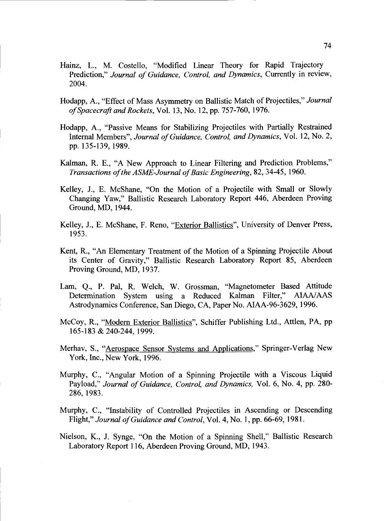- Hainz, L., M. Costello, "Modified Linear Theory for Rapid Trajectory Prediction," Journal of Guidance, Control, and Dynamics, Currently in review, 2004.
- Hodapp, A., "Effect of Mass Asymmetry on Ballistic Match of Projectiles," Journal ofSpacecraft and Rockets, Vol. 13, No. 12, pp. 757-760, 1976.
- Hodapp, A., "Passive Means for Stabilizing Projectiles with Partially Restrained Internal Members", Journal of Guidance, Control, and Dynamics, Vol. 12, No. 2, pp. 135-139, 1989.
- Kalman, R. E., "A New Approach to Linear Filtering and Prediction Problems," Transactions of the ASME-Journal of Basic Engineering, 82, 34-45, 1960.
- Kelley, J., E. McShane, "On the Motion of a Projectile with Small or Slowly Changing Yaw," Ballistic Research Laboratory Report 446, Aberdeen Proving Ground, MD, 1944.
- Kelley, J., E. McShane, F. Reno, "Exterior Ballistics", University of Denver Press, 1953.
- Kent, R., "An Elementary Treatment of the Motion of a Spinning Projectile About its Center of Gravity," Ballistic Research Laboratory Report 85, Aberdeen Proving Ground, MD, 1937.
- Lam, Q., P. Pal, R. Welch, W. Grossman, "Magnetometer Based Attitude Determination System using a Reduced Kalman Filter," AIAA/AAS Astrodynamics Conference, San Diego, CA, Paper No. AIAA-96-3629, 1996.
- McCoy, R., "Modern Exterior Ballistics", Schiffer Publishing Ltd., Attlen, PA, pp 165-183 & 240-244, 1999.
- Merhav, S., "Aerospace Sensor Systems and Applications," Springer-Verlag New York, Inc., New York, 1996.
- Murphy, C., "Angular Motion of a Spinning Projectile with a Viscous Liquid Payload," Journal of Guidance, Control, and Dynamics, Vol. 6, No. 4, pp. 280-286, 1983.
- Murphy, C., "Instability of Controlled Projectiles in Ascending or Descending Flight," Journal of Guidance and Control, Vol. 4, No. 1, pp. 66-69, 1981.
- Nielson, K., J. Synge, "On the Motion of a Spinning Shell," Ballistic Research Laboratory Report 116, Aberdeen Proving Ground, MD, 1943.